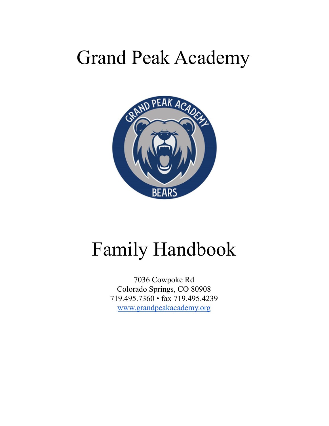# Grand Peak Academy



# Family Handbook

7036 Cowpoke Rd Colorado Springs, CO 80908 719.495.7360 • fax 719.495.4239 www.grandpeakacademy.org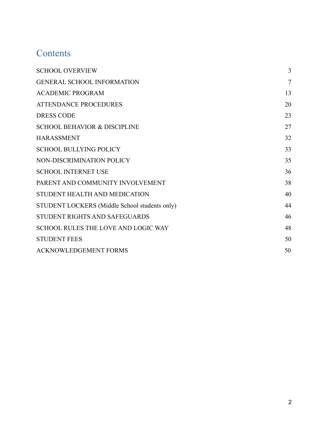## **Contents**

| <b>SCHOOL OVERVIEW</b>                        | 3              |
|-----------------------------------------------|----------------|
| <b>GENERAL SCHOOL INFORMATION</b>             | $\overline{7}$ |
| <b>ACADEMIC PROGRAM</b>                       | 13             |
| <b>ATTENDANCE PROCEDURES</b>                  | 20             |
| <b>DRESS CODE</b>                             | 23             |
| <b>SCHOOL BEHAVIOR &amp; DISCIPLINE</b>       | 27             |
| <b>HARASSMENT</b>                             | 32             |
| <b>SCHOOL BULLYING POLICY</b>                 | 33             |
| NON-DISCRIMINATION POLICY                     | 35             |
| <b>SCHOOL INTERNET USE</b>                    | 36             |
| PARENT AND COMMUNITY INVOLVEMENT              | 38             |
| STUDENT HEALTH AND MEDICATION                 | 40             |
| STUDENT LOCKERS (Middle School students only) | 44             |
| STUDENT RIGHTS AND SAFEGUARDS                 | 46             |
| <b>SCHOOL RULES THE LOVE AND LOGIC WAY</b>    | 48             |
| <b>STUDENT FEES</b>                           | 50             |
| <b>ACKNOWLEDGEMENT FORMS</b>                  | 50             |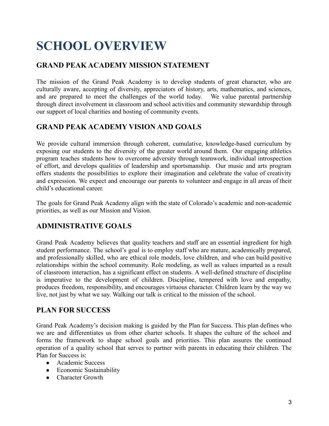## <span id="page-2-0"></span>**SCHOOL OVERVIEW**

## **GRAND PEAK ACADEMY MISSION STATEMENT**

The mission of the Grand Peak Academy is to develop students of great character, who are culturally aware, accepting of diversity, appreciators of history, arts, mathematics, and sciences, and are prepared to meet the challenges of the world today. We value parental partnership through direct involvement in classroom and school activities and community stewardship through our support of local charities and hosting of community events.

## **GRAND PEAK ACADEMY VISION AND GOALS**

We provide cultural immersion through coherent, cumulative, knowledge-based curriculum by exposing our students to the diversity of the greater world around them. Our engaging athletics program teaches students how to overcome adversity through teamwork, individual introspection of effort, and develops qualities of leadership and sportsmanship. Our music and arts program offers students the possibilities to explore their imagination and celebrate the value of creativity and expression. We expect and encourage our parents to volunteer and engage in all areas of their child's educational career.

The goals for Grand Peak Academy align with the state of Colorado's academic and non-academic priorities, as well as our Mission and Vision.

## **ADMINISTRATIVE GOALS**

Grand Peak Academy believes that quality teachers and staff are an essential ingredient for high student performance. The school's goal is to employ staff who are mature, academically prepared, and professionally skilled, who are ethical role models, love children, and who can build positive relationships within the school community. Role modeling, as well as values imparted as a result of classroom interaction, has a significant effect on students. A well-defined structure of discipline is imperative to the development of children. Discipline, tempered with love and empathy, produces freedom, responsibility, and encourages virtuous character. Children learn by the way we live, not just by what we say. Walking our talk is critical to the mission of the school.

## **PLAN FOR SUCCESS**

Grand Peak Academy's decision making is guided by the Plan for Success. This plan defines who we are and differentiates us from other charter schools. It shapes the culture of the school and forms the framework to shape school goals and priorities. This plan assures the continued operation of a quality school that serves to partner with parents in educating their children. The Plan for Success is:

- Academic Success
- Economic Sustainability
- Character Growth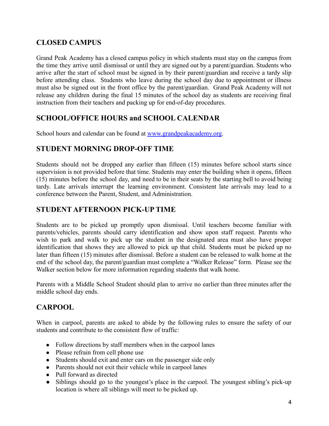## **CLOSED CAMPUS**

Grand Peak Academy has a closed campus policy in which students must stay on the campus from the time they arrive until dismissal or until they are signed out by a parent/guardian. Students who arrive after the start of school must be signed in by their parent/guardian and receive a tardy slip before attending class. Students who leave during the school day due to appointment or illness must also be signed out in the front office by the parent/guardian. Grand Peak Academy will not release any children during the final 15 minutes of the school day as students are receiving final instruction from their teachers and packing up for end-of-day procedures.

### **SCHOOL/OFFICE HOURS and SCHOOL CALENDAR**

School hours and calendar can be found at www.grandpeakacademy.org.

## **STUDENT MORNING DROP-OFF TIME**

Students should not be dropped any earlier than fifteen (15) minutes before school starts since supervision is not provided before that time. Students may enter the building when it opens, fifteen (15) minutes before the school day, and need to be in their seats by the starting bell to avoid being tardy. Late arrivals interrupt the learning environment. Consistent late arrivals may lead to a conference between the Parent, Student, and Administration.

## **STUDENT AFTERNOON PICK-UP TIME**

Students are to be picked up promptly upon dismissal. Until teachers become familiar with parents/vehicles, parents should carry identification and show upon staff request. Parents who wish to park and walk to pick up the student in the designated area must also have proper identification that shows they are allowed to pick up that child. Students must be picked up no later than fifteen (15) minutes after dismissal. Before a student can be released to walk home at the end of the school day, the parent/guardian must complete a "Walker Release" form. Please see the Walker section below for more information regarding students that walk home.

Parents with a Middle School Student should plan to arrive no earlier than three minutes after the middle school day ends.

## **CARPOOL**

When in carpool, parents are asked to abide by the following rules to ensure the safety of our students and contribute to the consistent flow of traffic:

- Follow directions by staff members when in the carpool lanes
- Please refrain from cell phone use
- Students should exit and enter cars on the passenger side only
- Parents should not exit their vehicle while in carpool lanes
- Pull forward as directed
- Siblings should go to the youngest's place in the carpool. The youngest sibling's pick-up location is where all siblings will meet to be picked up.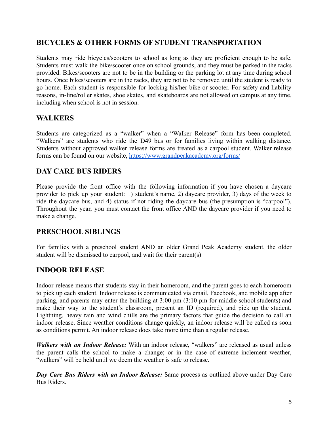## **BICYCLES & OTHER FORMS OF STUDENT TRANSPORTATION**

Students may ride bicycles/scooters to school as long as they are proficient enough to be safe. Students must walk the bike/scooter once on school grounds, and they must be parked in the racks provided. Bikes/scooters are not to be in the building or the parking lot at any time during school hours. Once bikes/scooters are in the racks, they are not to be removed until the student is ready to go home. Each student is responsible for locking his/her bike or scooter. For safety and liability reasons, in-line/roller skates, shoe skates, and skateboards are not allowed on campus at any time, including when school is not in session.

### **WALKERS**

Students are categorized as a "walker" when a "Walker Release" form has been completed. "Walkers" are students who ride the D49 bus or for families living within walking distance. Students without approved walker release forms are treated as a carpool student. Walker release forms can be found on our website, <https://www.grandpeakacademy.org/forms/>

## **DAY CARE BUS RIDERS**

Please provide the front office with the following information if you have chosen a daycare provider to pick up your student: 1) student's name, 2) daycare provider, 3) days of the week to ride the daycare bus, and 4) status if not riding the daycare bus (the presumption is "carpool"). Throughout the year, you must contact the front office AND the daycare provider if you need to make a change.

## **PRESCHOOL SIBLINGS**

For families with a preschool student AND an older Grand Peak Academy student, the older student will be dismissed to carpool, and wait for their parent(s)

## **INDOOR RELEASE**

Indoor release means that students stay in their homeroom, and the parent goes to each homeroom to pick up each student. Indoor release is communicated via email, Facebook, and mobile app after parking, and parents may enter the building at 3:00 pm (3:10 pm for middle school students) and make their way to the student's classroom, present an ID (required), and pick up the student. Lightning, heavy rain and wind chills are the primary factors that guide the decision to call an indoor release. Since weather conditions change quickly, an indoor release will be called as soon as conditions permit. An indoor release does take more time than a regular release.

*Walkers with an Indoor Release:* With an indoor release, "walkers" are released as usual unless the parent calls the school to make a change; or in the case of extreme inclement weather, "walkers" will be held until we deem the weather is safe to release.

*Day Care Bus Riders with an Indoor Release:* Same process as outlined above under Day Care Bus Riders.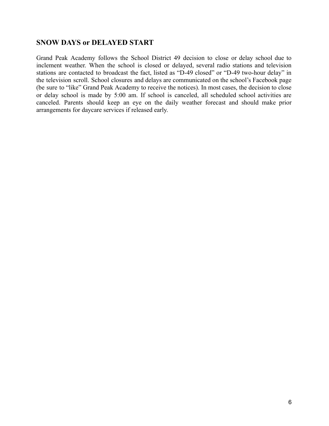### **SNOW DAYS or DELAYED START**

Grand Peak Academy follows the School District 49 decision to close or delay school due to inclement weather. When the school is closed or delayed, several radio stations and television stations are contacted to broadcast the fact, listed as "D-49 closed" or "D-49 two-hour delay" in the television scroll. School closures and delays are communicated on the school's Facebook page (be sure to "like" Grand Peak Academy to receive the notices). In most cases, the decision to close or delay school is made by 5:00 am. If school is canceled, all scheduled school activities are canceled. Parents should keep an eye on the daily weather forecast and should make prior arrangements for daycare services if released early.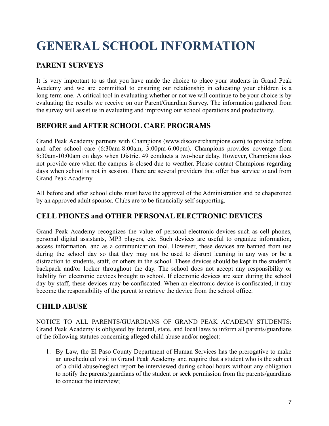## <span id="page-6-0"></span>**GENERAL SCHOOL INFORMATION**

## **PARENT SURVEYS**

It is very important to us that you have made the choice to place your students in Grand Peak Academy and we are committed to ensuring our relationship in educating your children is a long-term one. A critical tool in evaluating whether or not we will continue to be your choice is by evaluating the results we receive on our Parent/Guardian Survey. The information gathered from the survey will assist us in evaluating and improving our school operations and productivity.

### **BEFORE and AFTER SCHOOL CARE PROGRAMS**

Grand Peak Academy partners with Champions (www.discoverchampions.com) to provide before and after school care (6:30am-8:00am, 3:00pm-6:00pm). Champions provides coverage from 8:30am-10:00am on days when District 49 conducts a two-hour delay. However, Champions does not provide care when the campus is closed due to weather. Please contact Champions regarding days when school is not in session. There are several providers that offer bus service to and from Grand Peak Academy.

All before and after school clubs must have the approval of the Administration and be chaperoned by an approved adult sponsor. Clubs are to be financially self-supporting.

## **CELL PHONES and OTHER PERSONAL ELECTRONIC DEVICES**

Grand Peak Academy recognizes the value of personal electronic devices such as cell phones, personal digital assistants, MP3 players, etc. Such devices are useful to organize information, access information, and as a communication tool. However, these devices are banned from use during the school day so that they may not be used to disrupt learning in any way or be a distraction to students, staff, or others in the school. These devices should be kept in the student's backpack and/or locker throughout the day. The school does not accept any responsibility or liability for electronic devices brought to school. If electronic devices are seen during the school day by staff, these devices may be confiscated. When an electronic device is confiscated, it may become the responsibility of the parent to retrieve the device from the school office.

### **CHILD ABUSE**

NOTICE TO ALL PARENTS/GUARDIANS OF GRAND PEAK ACADEMY STUDENTS: Grand Peak Academy is obligated by federal, state, and local laws to inform all parents/guardians of the following statutes concerning alleged child abuse and/or neglect:

1. By Law, the El Paso County Department of Human Services has the prerogative to make an unscheduled visit to Grand Peak Academy and require that a student who is the subject of a child abuse/neglect report be interviewed during school hours without any obligation to notify the parents/guardians of the student or seek permission from the parents/guardians to conduct the interview;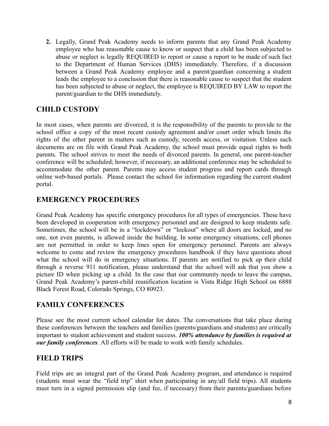**2.** Legally, Grand Peak Academy needs to inform parents that any Grand Peak Academy employee who has reasonable cause to know or suspect that a child has been subjected to abuse or neglect is legally REQUIRED to report or cause a report to be made of such fact to the Department of Human Services (DHS) immediately. Therefore, if a discussion between a Grand Peak Academy employee and a parent/guardian concerning a student leads the employee to a conclusion that there is reasonable cause to suspect that the student has been subjected to abuse or neglect, the employee is REQUIRED BY LAW to report the parent/guardian to the DHS immediately.

## **CHILD CUSTODY**

In most cases, when parents are divorced, it is the responsibility of the parents to provide to the school office a copy of the most recent custody agreement and/or court order which limits the rights of the other parent in matters such as custody, records access, or visitation. Unless such documents are on file with Grand Peak Academy, the school must provide equal rights to both parents. The school strives to meet the needs of divorced parents. In general, one parent-teacher conference will be scheduled; however, if necessary, an additional conference may be scheduled to accommodate the other parent. Parents may access student progress and report cards through online web-based portals. Please contact the school for information regarding the current student portal.

### **EMERGENCY PROCEDURES**

Grand Peak Academy has specific emergency procedures for all types of emergencies. These have been developed in cooperation with emergency personnel and are designed to keep students safe. Sometimes, the school will be in a "lockdown" or "lockout" where all doors are locked, and no one, not even parents, is allowed inside the building. In some emergency situations, cell phones are not permitted in order to keep lines open for emergency personnel. Parents are always welcome to come and review the emergency procedures handbook if they have questions about what the school will do in emergency situations. If parents are notified to pick up their child through a reverse 911 notification, please understand that the school will ask that you show a picture ID when picking up a child. In the case that our community needs to leave the campus, Grand Peak Academy's parent-child reunification location is Vista Ridge High School on 6888 Black Forest Road, Colorado Springs, CO 80923.

## **FAMILY CONFERENCES**

Please see the most current school calendar for dates. The conversations that take place during these conferences between the teachers and families (parents/guardians and students) are critically important to student achievement and student success. *100% attendance by families is required at our family conferences.* All efforts will be made to work with family schedules.

## **FIELD TRIPS**

Field trips are an integral part of the Grand Peak Academy program, and attendance is required (students must wear the "field trip" shirt when participating in any/all field trips). All students must turn in a signed permission slip (and fee, if necessary) from their parents/guardians before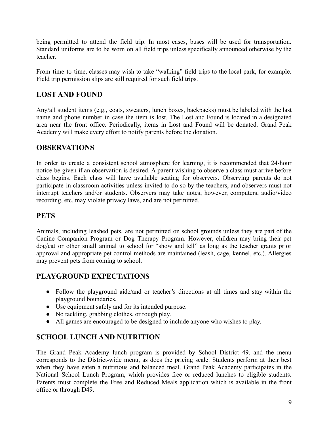being permitted to attend the field trip. In most cases, buses will be used for transportation. Standard uniforms are to be worn on all field trips unless specifically announced otherwise by the teacher.

From time to time, classes may wish to take "walking" field trips to the local park, for example. Field trip permission slips are still required for such field trips.

## **LOST AND FOUND**

Any/all student items (e.g., coats, sweaters, lunch boxes, backpacks) must be labeled with the last name and phone number in case the item is lost. The Lost and Found is located in a designated area near the front office. Periodically, items in Lost and Found will be donated. Grand Peak Academy will make every effort to notify parents before the donation.

### **OBSERVATIONS**

In order to create a consistent school atmosphere for learning, it is recommended that 24-hour notice be given if an observation is desired. A parent wishing to observe a class must arrive before class begins. Each class will have available seating for observers. Observing parents do not participate in classroom activities unless invited to do so by the teachers, and observers must not interrupt teachers and/or students. Observers may take notes; however, computers, audio/video recording, etc. may violate privacy laws, and are not permitted.

### **PETS**

Animals, including leashed pets, are not permitted on school grounds unless they are part of the Canine Companion Program or Dog Therapy Program. However, children may bring their pet dog/cat or other small animal to school for "show and tell" as long as the teacher grants prior approval and appropriate pet control methods are maintained (leash, cage, kennel, etc.). Allergies may prevent pets from coming to school.

## **PLAYGROUND EXPECTATIONS**

- Follow the playground aide/and or teacher's directions at all times and stay within the playground boundaries.
- Use equipment safely and for its intended purpose.
- No tackling, grabbing clothes, or rough play.
- All games are encouraged to be designed to include anyone who wishes to play.

## **SCHOOL LUNCH AND NUTRITION**

The Grand Peak Academy lunch program is provided by School District 49, and the menu corresponds to the District-wide menu, as does the pricing scale. Students perform at their best when they have eaten a nutritious and balanced meal. Grand Peak Academy participates in the National School Lunch Program, which provides free or reduced lunches to eligible students. Parents must complete the Free and Reduced Meals application which is available in the front office or through D49.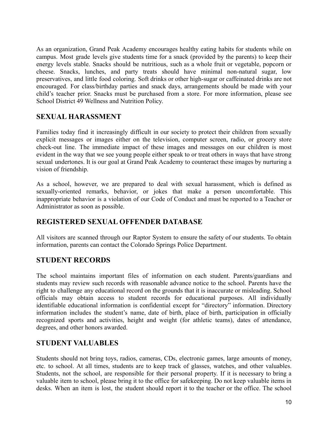As an organization, Grand Peak Academy encourages healthy eating habits for students while on campus. Most grade levels give students time for a snack (provided by the parents) to keep their energy levels stable. Snacks should be nutritious, such as a whole fruit or vegetable, popcorn or cheese. Snacks, lunches, and party treats should have minimal non-natural sugar, low preservatives, and little food coloring. Soft drinks or other high-sugar or caffeinated drinks are not encouraged. For class/birthday parties and snack days, arrangements should be made with your child's teacher prior. Snacks must be purchased from a store. For more information, please see School District 49 Wellness and Nutrition Policy.

### **SEXUAL HARASSMENT**

Families today find it increasingly difficult in our society to protect their children from sexually explicit messages or images either on the television, computer screen, radio, or grocery store check-out line. The immediate impact of these images and messages on our children is most evident in the way that we see young people either speak to or treat others in ways that have strong sexual undertones. It is our goal at Grand Peak Academy to counteract these images by nurturing a vision of friendship.

As a school, however, we are prepared to deal with sexual harassment, which is defined as sexually-oriented remarks, behavior, or jokes that make a person uncomfortable. This inappropriate behavior is a violation of our Code of Conduct and must be reported to a Teacher or Administrator as soon as possible.

### **REGISTERED SEXUAL OFFENDER DATABASE**

All visitors are scanned through our Raptor System to ensure the safety of our students. To obtain information, parents can contact the Colorado Springs Police Department.

### **STUDENT RECORDS**

The school maintains important files of information on each student. Parents/guardians and students may review such records with reasonable advance notice to the school. Parents have the right to challenge any educational record on the grounds that it is inaccurate or misleading. School officials may obtain access to student records for educational purposes. All individually identifiable educational information is confidential except for "directory" information. Directory information includes the student's name, date of birth, place of birth, participation in officially recognized sports and activities, height and weight (for athletic teams), dates of attendance, degrees, and other honors awarded.

#### **STUDENT VALUABLES**

Students should not bring toys, radios, cameras, CDs, electronic games, large amounts of money, etc. to school. At all times, students are to keep track of glasses, watches, and other valuables. Students, not the school, are responsible for their personal property. If it is necessary to bring a valuable item to school, please bring it to the office for safekeeping. Do not keep valuable items in desks. When an item is lost, the student should report it to the teacher or the office. The school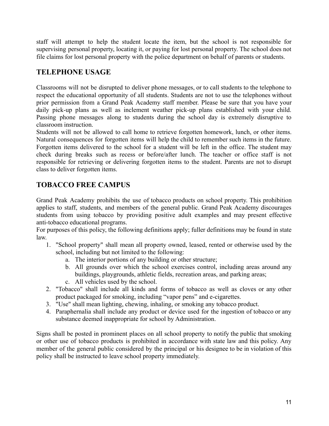staff will attempt to help the student locate the item, but the school is not responsible for supervising personal property, locating it, or paying for lost personal property. The school does not file claims for lost personal property with the police department on behalf of parents or students.

## **TELEPHONE USAGE**

Classrooms will not be disrupted to deliver phone messages, or to call students to the telephone to respect the educational opportunity of all students. Students are not to use the telephones without prior permission from a Grand Peak Academy staff member. Please be sure that you have your daily pick-up plans as well as inclement weather pick-up plans established with your child. Passing phone messages along to students during the school day is extremely disruptive to classroom instruction.

Students will not be allowed to call home to retrieve forgotten homework, lunch, or other items. Natural consequences for forgotten items will help the child to remember such items in the future. Forgotten items delivered to the school for a student will be left in the office. The student may check during breaks such as recess or before/after lunch. The teacher or office staff is not responsible for retrieving or delivering forgotten items to the student. Parents are not to disrupt class to deliver forgotten items.

## **TOBACCO FREE CAMPUS**

Grand Peak Academy prohibits the use of tobacco products on school property. This prohibition applies to staff, students, and members of the general public. Grand Peak Academy discourages students from using tobacco by providing positive adult examples and may present effective anti-tobacco educational programs.

For purposes of this policy, the following definitions apply; fuller definitions may be found in state law.

- 1. "School property" shall mean all property owned, leased, rented or otherwise used by the school, including but not limited to the following:
	- a. The interior portions of any building or other structure;
	- b. All grounds over which the school exercises control, including areas around any buildings, playgrounds, athletic fields, recreation areas, and parking areas;
	- c. All vehicles used by the school.
- 2. "Tobacco" shall include all kinds and forms of tobacco as well as cloves or any other product packaged for smoking, including "vapor pens" and e-cigarettes.
- 3. "Use" shall mean lighting, chewing, inhaling, or smoking any tobacco product.
- 4. Paraphernalia shall include any product or device used for the ingestion of tobacco or any substance deemed inappropriate for school by Administration.

Signs shall be posted in prominent places on all school property to notify the public that smoking or other use of tobacco products is prohibited in accordance with state law and this policy. Any member of the general public considered by the principal or his designee to be in violation of this policy shall be instructed to leave school property immediately.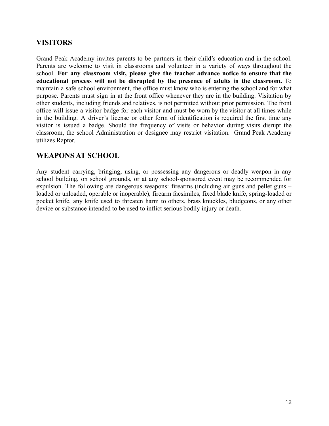### **VISITORS**

Grand Peak Academy invites parents to be partners in their child's education and in the school. Parents are welcome to visit in classrooms and volunteer in a variety of ways throughout the school. **For any classroom visit, please give the teacher advance notice to ensure that the educational process will not be disrupted by the presence of adults in the classroom.** To maintain a safe school environment, the office must know who is entering the school and for what purpose. Parents must sign in at the front office whenever they are in the building. Visitation by other students, including friends and relatives, is not permitted without prior permission. The front office will issue a visitor badge for each visitor and must be worn by the visitor at all times while in the building. A driver's license or other form of identification is required the first time any visitor is issued a badge. Should the frequency of visits or behavior during visits disrupt the classroom, the school Administration or designee may restrict visitation. Grand Peak Academy utilizes Raptor.

### **WEAPONS AT SCHOOL**

Any student carrying, bringing, using, or possessing any dangerous or deadly weapon in any school building, on school grounds, or at any school-sponsored event may be recommended for expulsion. The following are dangerous weapons: firearms (including air guns and pellet guns – loaded or unloaded, operable or inoperable), firearm facsimiles, fixed blade knife, spring-loaded or pocket knife, any knife used to threaten harm to others, brass knuckles, bludgeons, or any other device or substance intended to be used to inflict serious bodily injury or death.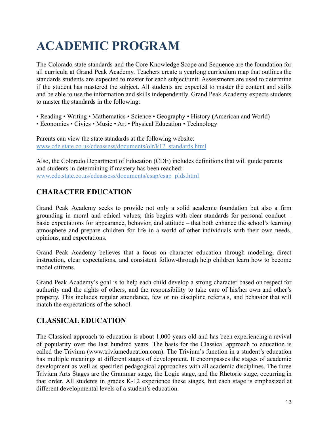## <span id="page-12-0"></span>**ACADEMIC PROGRAM**

The Colorado state standards and the Core Knowledge Scope and Sequence are the foundation for all curricula at Grand Peak Academy. Teachers create a yearlong curriculum map that outlines the standards students are expected to master for each subject/unit. Assessments are used to determine if the student has mastered the subject. All students are expected to master the content and skills and be able to use the information and skills independently. Grand Peak Academy expects students to master the standards in the following:

- Reading Writing Mathematics Science Geography History (American and World)
- Economics Civics Music Art Physical Education Technology

Parents can view the state standards at the following website: [www.cde.state.co.us/cdeassess/documents/olr/k12\\_standards.html](http://www.cde.state.co.us/cdeassess/documents/olr/k12_standards.html)

Also, the Colorado Department of Education (CDE) includes definitions that will guide parents and students in determining if mastery has been reached: www.cde.state.co.us/cdeassess/documents/csap/csap\_plds.html

## **CHARACTER EDUCATION**

Grand Peak Academy seeks to provide not only a solid academic foundation but also a firm grounding in moral and ethical values; this begins with clear standards for personal conduct – basic expectations for appearance, behavior, and attitude – that both enhance the school's learning atmosphere and prepare children for life in a world of other individuals with their own needs, opinions, and expectations.

Grand Peak Academy believes that a focus on character education through modeling, direct instruction, clear expectations, and consistent follow-through help children learn how to become model citizens.

Grand Peak Academy's goal is to help each child develop a strong character based on respect for authority and the rights of others, and the responsibility to take care of his/her own and other's property. This includes regular attendance, few or no discipline referrals, and behavior that will match the expectations of the school.

## **CLASSICAL EDUCATION**

The Classical approach to education is about 1,000 years old and has been experiencing a revival of popularity over the last hundred years. The basis for the Classical approach to education is called the Trivium (www.triviumeducation.com). The Trivium's function in a student's education has multiple meanings at different stages of development. It encompasses the stages of academic development as well as specified pedagogical approaches with all academic disciplines. The three Trivium Arts Stages are the Grammar stage, the Logic stage, and the Rhetoric stage, occurring in that order. All students in grades K-12 experience these stages, but each stage is emphasized at different developmental levels of a student's education.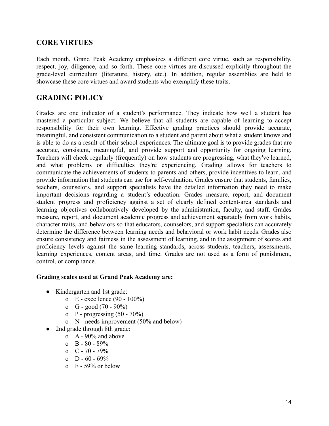### **CORE VIRTUES**

Each month, Grand Peak Academy emphasizes a different core virtue, such as responsibility, respect, joy, diligence, and so forth. These core virtues are discussed explicitly throughout the grade-level curriculum (literature, history, etc.). In addition, regular assemblies are held to showcase these core virtues and award students who exemplify these traits.

### **GRADING POLICY**

Grades are one indicator of a student's performance. They indicate how well a student has mastered a particular subject. We believe that all students are capable of learning to accept responsibility for their own learning. Effective grading practices should provide accurate, meaningful, and consistent communication to a student and parent about what a student knows and is able to do as a result of their school experiences. The ultimate goal is to provide grades that are accurate, consistent, meaningful, and provide support and opportunity for ongoing learning. Teachers will check regularly (frequently) on how students are progressing, what they've learned, and what problems or difficulties they're experiencing. Grading allows for teachers to communicate the achievements of students to parents and others, provide incentives to learn, and provide information that students can use for self-evaluation. Grades ensure that students, families, teachers, counselors, and support specialists have the detailed information they need to make important decisions regarding a student's education. Grades measure, report, and document student progress and proficiency against a set of clearly defined content-area standards and learning objectives collaboratively developed by the administration, faculty, and staff. Grades measure, report, and document academic progress and achievement separately from work habits, character traits, and behaviors so that educators, counselors, and support specialists can accurately determine the difference between learning needs and behavioral or work habit needs. Grades also ensure consistency and fairness in the assessment of learning, and in the assignment of scores and proficiency levels against the same learning standards, across students, teachers, assessments, learning experiences, content areas, and time. Grades are not used as a form of punishment, control, or compliance.

#### **Grading scales used at Grand Peak Academy are:**

- Kindergarten and 1st grade:
	- o E excellence (90 100%)
	- o  $G good (70 90\%)$
	- o P progressing  $(50 70\%)$
	- o N needs improvement (50% and below)
- 2nd grade through 8th grade:
	- o A 90% and above
	- $\alpha$  B 80 89%
	- $o \quad C 70 79\%$
	- o  $D 60 69%$
	- o F 59% or below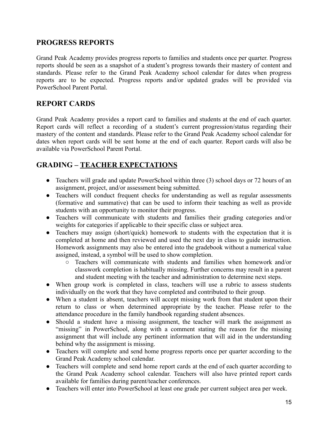## **PROGRESS REPORTS**

Grand Peak Academy provides progress reports to families and students once per quarter. Progress reports should be seen as a snapshot of a student's progress towards their mastery of content and standards. Please refer to the Grand Peak Academy school calendar for dates when progress reports are to be expected. Progress reports and/or updated grades will be provided via PowerSchool Parent Portal.

### **REPORT CARDS**

Grand Peak Academy provides a report card to families and students at the end of each quarter. Report cards will reflect a recording of a student's current progression/status regarding their mastery of the content and standards. Please refer to the Grand Peak Academy school calendar for dates when report cards will be sent home at the end of each quarter. Report cards will also be available via PowerSchool Parent Portal.

## **GRADING – TEACHER EXPECTATIONS**

- Teachers will grade and update PowerSchool within three (3) school days or 72 hours of an assignment, project, and/or assessment being submitted.
- Teachers will conduct frequent checks for understanding as well as regular assessments (formative and summative) that can be used to inform their teaching as well as provide students with an opportunity to monitor their progress.
- Teachers will communicate with students and families their grading categories and/or weights for categories if applicable to their specific class or subject area.
- Teachers may assign (short/quick) homework to students with the expectation that it is completed at home and then reviewed and used the next day in class to guide instruction. Homework assignments may also be entered into the gradebook without a numerical value assigned, instead, a symbol will be used to show completion.
	- Teachers will communicate with students and families when homework and/or classwork completion is habitually missing. Further concerns may result in a parent and student meeting with the teacher and administration to determine next steps.
- When group work is completed in class, teachers will use a rubric to assess students individually on the work that they have completed and contributed to their group.
- When a student is absent, teachers will accept missing work from that student upon their return to class or when determined appropriate by the teacher. Please refer to the attendance procedure in the family handbook regarding student absences.
- Should a student have a missing assignment, the teacher will mark the assignment as "missing" in PowerSchool, along with a comment stating the reason for the missing assignment that will include any pertinent information that will aid in the understanding behind why the assignment is missing.
- Teachers will complete and send home progress reports once per quarter according to the Grand Peak Academy school calendar.
- Teachers will complete and send home report cards at the end of each quarter according to the Grand Peak Academy school calendar. Teachers will also have printed report cards available for families during parent/teacher conferences.
- Teachers will enter into PowerSchool at least one grade per current subject area per week.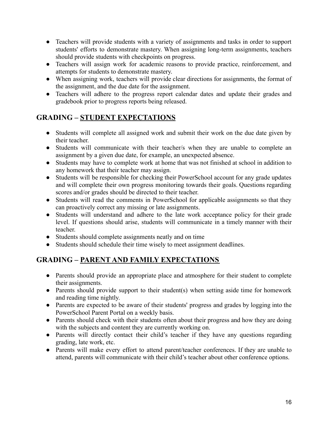- Teachers will provide students with a variety of assignments and tasks in order to support students' efforts to demonstrate mastery. When assigning long-term assignments, teachers should provide students with checkpoints on progress.
- Teachers will assign work for academic reasons to provide practice, reinforcement, and attempts for students to demonstrate mastery.
- When assigning work, teachers will provide clear directions for assignments, the format of the assignment, and the due date for the assignment.
- Teachers will adhere to the progress report calendar dates and update their grades and gradebook prior to progress reports being released.

## **GRADING – STUDENT EXPECTATIONS**

- Students will complete all assigned work and submit their work on the due date given by their teacher.
- Students will communicate with their teacher/s when they are unable to complete an assignment by a given due date, for example, an unexpected absence.
- Students may have to complete work at home that was not finished at school in addition to any homework that their teacher may assign.
- Students will be responsible for checking their PowerSchool account for any grade updates and will complete their own progress monitoring towards their goals. Questions regarding scores and/or grades should be directed to their teacher.
- Students will read the comments in PowerSchool for applicable assignments so that they can proactively correct any missing or late assignments.
- Students will understand and adhere to the late work acceptance policy for their grade level. If questions should arise, students will communicate in a timely manner with their teacher.
- Students should complete assignments neatly and on time
- Students should schedule their time wisely to meet assignment deadlines.

## **GRADING – PARENT AND FAMILY EXPECTATIONS**

- Parents should provide an appropriate place and atmosphere for their student to complete their assignments.
- Parents should provide support to their student(s) when setting aside time for homework and reading time nightly.
- Parents are expected to be aware of their students' progress and grades by logging into the PowerSchool Parent Portal on a weekly basis.
- Parents should check with their students often about their progress and how they are doing with the subjects and content they are currently working on.
- Parents will directly contact their child's teacher if they have any questions regarding grading, late work, etc.
- Parents will make every effort to attend parent/teacher conferences. If they are unable to attend, parents will communicate with their child's teacher about other conference options.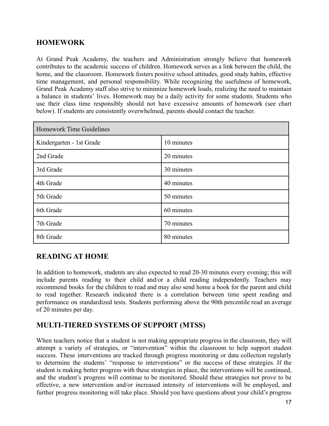## **HOMEWORK**

At Grand Peak Academy, the teachers and Administration strongly believe that homework contributes to the academic success of children. Homework serves as a link between the child, the home, and the classroom. Homework fosters positive school attitudes, good study habits, effective time management, and personal responsibility. While recognizing the usefulness of homework, Grand Peak Academy staff also strive to minimize homework loads, realizing the need to maintain a balance in students' lives. Homework may be a daily activity for some students. Students who use their class time responsibly should not have excessive amounts of homework (see chart below). If students are consistently overwhelmed, parents should contact the teacher.

| Homework Time Guidelines |            |
|--------------------------|------------|
| Kindergarten - 1st Grade | 10 minutes |
| 2nd Grade                | 20 minutes |
| 3rd Grade                | 30 minutes |
| 4th Grade                | 40 minutes |
| 5th Grade                | 50 minutes |
| 6th Grade                | 60 minutes |
| 7th Grade                | 70 minutes |
| 8th Grade                | 80 minutes |

## **READING AT HOME**

In addition to homework, students are also expected to read 20-30 minutes every evening; this will include parents reading to their child and/or a child reading independently. Teachers may recommend books for the children to read and may also send home a book for the parent and child to read together. Research indicated there is a correlation between time spent reading and performance on standardized tests. Students performing above the 90th percentile read an average of 20 minutes per day.

## **MULTI-TIERED SYSTEMS OF SUPPORT (MTSS)**

When teachers notice that a student is not making appropriate progress in the classroom, they will attempt a variety of strategies, or "intervention" within the classroom to help support student success. These interventions are tracked through progress monitoring or data collection regularly to determine the students' "response to interventions" or the success of these strategies. If the student is making better progress with these strategies in place, the interventions will be continued, and the student's progress will continue to be monitored. Should these strategies not prove to be effective, a new intervention and/or increased intensity of interventions will be employed, and further progress monitoring will take place. Should you have questions about your child's progress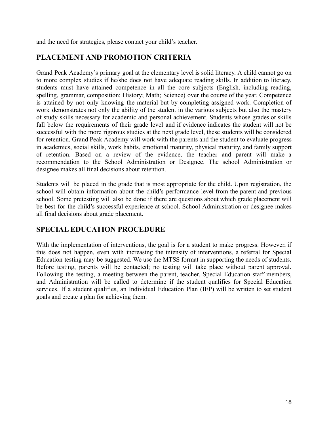and the need for strategies, please contact your child's teacher.

## **PLACEMENT AND PROMOTION CRITERIA**

Grand Peak Academy's primary goal at the elementary level is solid literacy. A child cannot go on to more complex studies if he/she does not have adequate reading skills. In addition to literacy, students must have attained competence in all the core subjects (English, including reading, spelling, grammar, composition; History; Math; Science) over the course of the year. Competence is attained by not only knowing the material but by completing assigned work. Completion of work demonstrates not only the ability of the student in the various subjects but also the mastery of study skills necessary for academic and personal achievement. Students whose grades or skills fall below the requirements of their grade level and if evidence indicates the student will not be successful with the more rigorous studies at the next grade level, these students will be considered for retention. Grand Peak Academy will work with the parents and the student to evaluate progress in academics, social skills, work habits, emotional maturity, physical maturity, and family support of retention. Based on a review of the evidence, the teacher and parent will make a recommendation to the School Administration or Designee. The school Administration or designee makes all final decisions about retention.

Students will be placed in the grade that is most appropriate for the child. Upon registration, the school will obtain information about the child's performance level from the parent and previous school. Some pretesting will also be done if there are questions about which grade placement will be best for the child's successful experience at school. School Administration or designee makes all final decisions about grade placement.

## **SPECIAL EDUCATION PROCEDURE**

With the implementation of interventions, the goal is for a student to make progress. However, if this does not happen, even with increasing the intensity of interventions, a referral for Special Education testing may be suggested. We use the MTSS format in supporting the needs of students. Before testing, parents will be contacted; no testing will take place without parent approval. Following the testing, a meeting between the parent, teacher, Special Education staff members, and Administration will be called to determine if the student qualifies for Special Education services. If a student qualifies, an Individual Education Plan (IEP) will be written to set student goals and create a plan for achieving them.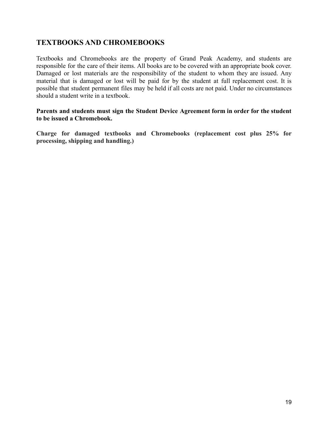## **TEXTBOOKS AND CHROMEBOOKS**

Textbooks and Chromebooks are the property of Grand Peak Academy, and students are responsible for the care of their items. All books are to be covered with an appropriate book cover. Damaged or lost materials are the responsibility of the student to whom they are issued. Any material that is damaged or lost will be paid for by the student at full replacement cost. It is possible that student permanent files may be held if all costs are not paid. Under no circumstances should a student write in a textbook.

#### **Parents and students must sign the Student Device Agreement form in order for the student to be issued a Chromebook.**

**Charge for damaged textbooks and Chromebooks (replacement cost plus 25% for processing, shipping and handling.)**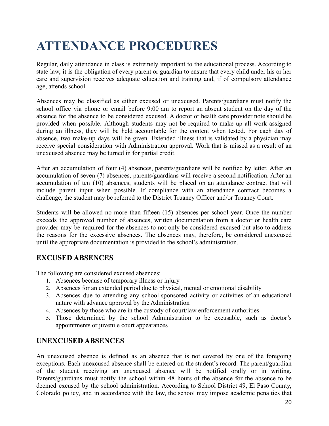## <span id="page-19-0"></span>**ATTENDANCE PROCEDURES**

Regular, daily attendance in class is extremely important to the educational process. According to state law, it is the obligation of every parent or guardian to ensure that every child under his or her care and supervision receives adequate education and training and, if of compulsory attendance age, attends school.

Absences may be classified as either excused or unexcused. Parents/guardians must notify the school office via phone or email before 9:00 am to report an absent student on the day of the absence for the absence to be considered excused. A doctor or health care provider note should be provided when possible. Although students may not be required to make up all work assigned during an illness, they will be held accountable for the content when tested. For each day of absence, two make-up days will be given. Extended illness that is validated by a physician may receive special consideration with Administration approval. Work that is missed as a result of an unexcused absence may be turned in for partial credit.

After an accumulation of four (4) absences, parents/guardians will be notified by letter. After an accumulation of seven (7) absences, parents/guardians will receive a second notification. After an accumulation of ten (10) absences, students will be placed on an attendance contract that will include parent input when possible. If compliance with an attendance contract becomes a challenge, the student may be referred to the District Truancy Officer and/or Truancy Court.

Students will be allowed no more than fifteen (15) absences per school year. Once the number exceeds the approved number of absences, written documentation from a doctor or health care provider may be required for the absences to not only be considered excused but also to address the reasons for the excessive absences. The absences may, therefore, be considered unexcused until the appropriate documentation is provided to the school's administration.

## **EXCUSED ABSENCES**

The following are considered excused absences:

- 1. Absences because of temporary illness or injury
- 2. Absences for an extended period due to physical, mental or emotional disability
- 3. Absences due to attending any school-sponsored activity or activities of an educational nature with advance approval by the Administration
- 4. Absences by those who are in the custody of court/law enforcement authorities
- 5. Those determined by the school Administration to be excusable, such as doctor's appointments or juvenile court appearances

## **UNEXCUSED ABSENCES**

An unexcused absence is defined as an absence that is not covered by one of the foregoing exceptions. Each unexcused absence shall be entered on the student's record. The parent/guardian of the student receiving an unexcused absence will be notified orally or in writing. Parents/guardians must notify the school within 48 hours of the absence for the absence to be deemed excused by the school administration. According to School District 49, El Paso County, Colorado policy, and in accordance with the law, the school may impose academic penalties that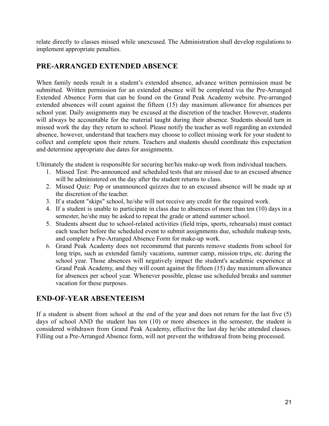relate directly to classes missed while unexcused. The Administration shall develop regulations to implement appropriate penalties.

## **PRE-ARRANGED EXTENDED ABSENCE**

When family needs result in a student's extended absence, advance written permission must be submitted. Written permission for an extended absence will be completed via the Pre-Arranged Extended Absence Form that can be found on the Grand Peak Academy website. Pre-arranged extended absences will count against the fifteen (15) day maximum allowance for absences per school year. Daily assignments may be excused at the discretion of the teacher. However, students will always be accountable for the material taught during their absence. Students should turn in missed work the day they return to school. Please notify the teacher as well regarding an extended absence, however, understand that teachers may choose to collect missing work for your student to collect and complete upon their return. Teachers and students should coordinate this expectation and determine appropriate due dates for assignments.

Ultimately the student is responsible for securing her/his make-up work from individual teachers.

- 1. Missed Test: Pre-announced and scheduled tests that are missed due to an excused absence will be administered on the day after the student returns to class.
- 2. Missed Quiz: Pop or unannounced quizzes due to an excused absence will be made up at the discretion of the teacher.
- 3. If a student "skips" school, he/she will not receive any credit for the required work.
- 4. If a student is unable to participate in class due to absences of more than ten (10) days in a semester, he/she may be asked to repeat the grade or attend summer school.
- 5. Students absent due to school-related activities (field trips, sports, rehearsals) must contact each teacher before the scheduled event to submit assignments due, schedule makeup tests, and complete a Pre-Arranged Absence Form for make-up work.
- 6. Grand Peak Academy does not recommend that parents remove students from school for long trips, such as extended family vacations, summer camp, mission trips, etc. during the school year. Those absences will negatively impact the student's academic experience at Grand Peak Academy, and they will count against the fifteen (15) day maximum allowance for absences per school year. Whenever possible, please use scheduled breaks and summer vacation for these purposes.

## **END-OF-YEAR ABSENTEEISM**

If a student is absent from school at the end of the year and does not return for the last five (5) days of school AND the student has ten (10) or more absences in the semester, the student is considered withdrawn from Grand Peak Academy, effective the last day he/she attended classes. Filling out a Pre-Arranged Absence form, will not prevent the withdrawal from being processed.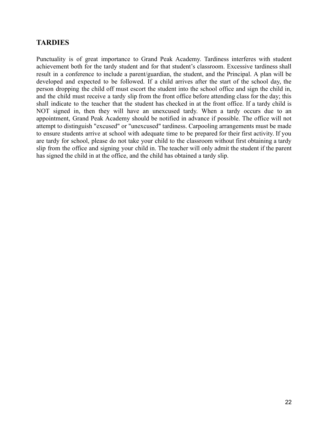## **TARDIES**

Punctuality is of great importance to Grand Peak Academy. Tardiness interferes with student achievement both for the tardy student and for that student's classroom. Excessive tardiness shall result in a conference to include a parent/guardian, the student, and the Principal. A plan will be developed and expected to be followed. If a child arrives after the start of the school day, the person dropping the child off must escort the student into the school office and sign the child in, and the child must receive a tardy slip from the front office before attending class for the day; this shall indicate to the teacher that the student has checked in at the front office. If a tardy child is NOT signed in, then they will have an unexcused tardy. When a tardy occurs due to an appointment, Grand Peak Academy should be notified in advance if possible. The office will not attempt to distinguish "excused" or "unexcused" tardiness. Carpooling arrangements must be made to ensure students arrive at school with adequate time to be prepared for their first activity. If you are tardy for school, please do not take your child to the classroom without first obtaining a tardy slip from the office and signing your child in. The teacher will only admit the student if the parent has signed the child in at the office, and the child has obtained a tardy slip.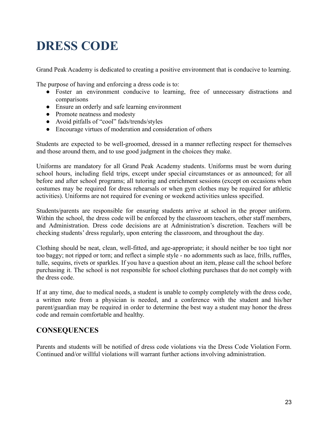## <span id="page-22-0"></span>**DRESS CODE**

Grand Peak Academy is dedicated to creating a positive environment that is conducive to learning.

The purpose of having and enforcing a dress code is to:

- Foster an environment conducive to learning, free of unnecessary distractions and comparisons
- Ensure an orderly and safe learning environment
- Promote neatness and modesty
- Avoid pitfalls of "cool" fads/trends/styles
- Encourage virtues of moderation and consideration of others

Students are expected to be well-groomed, dressed in a manner reflecting respect for themselves and those around them, and to use good judgment in the choices they make.

Uniforms are mandatory for all Grand Peak Academy students. Uniforms must be worn during school hours, including field trips, except under special circumstances or as announced; for all before and after school programs; all tutoring and enrichment sessions (except on occasions when costumes may be required for dress rehearsals or when gym clothes may be required for athletic activities). Uniforms are not required for evening or weekend activities unless specified.

Students/parents are responsible for ensuring students arrive at school in the proper uniform. Within the school, the dress code will be enforced by the classroom teachers, other staff members, and Administration. Dress code decisions are at Administration's discretion. Teachers will be checking students' dress regularly, upon entering the classroom, and throughout the day.

Clothing should be neat, clean, well-fitted, and age-appropriate; it should neither be too tight nor too baggy; not ripped or torn; and reflect a simple style - no adornments such as lace, frills, ruffles, tulle, sequins, rivets or sparkles. If you have a question about an item, please call the school before purchasing it. The school is not responsible for school clothing purchases that do not comply with the dress code.

If at any time, due to medical needs, a student is unable to comply completely with the dress code, a written note from a physician is needed, and a conference with the student and his/her parent/guardian may be required in order to determine the best way a student may honor the dress code and remain comfortable and healthy.

## **CONSEQUENCES**

Parents and students will be notified of dress code violations via the Dress Code Violation Form. Continued and/or willful violations will warrant further actions involving administration.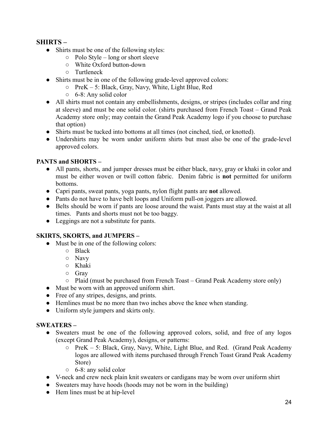#### **SHIRTS –**

- Shirts must be one of the following styles:
	- $\circ$  Polo Style long or short sleeve
	- White Oxford button-down
	- Turtleneck
- Shirts must be in one of the following grade-level approved colors:
	- PreK 5: Black, Gray, Navy, White, Light Blue, Red
	- 6-8: Any solid color
- All shirts must not contain any embellishments, designs, or stripes (includes collar and ring at sleeve) and must be one solid color. (shirts purchased from French Toast – Grand Peak Academy store only; may contain the Grand Peak Academy logo if you choose to purchase that option)
- Shirts must be tucked into bottoms at all times (not cinched, tied, or knotted).
- Undershirts may be worn under uniform shirts but must also be one of the grade-level approved colors.

#### **PANTS and SHORTS –**

- All pants, shorts, and jumper dresses must be either black, navy, gray or khaki in color and must be either woven or twill cotton fabric. Denim fabric is **not** permitted for uniform bottoms.
- Capri pants, sweat pants, yoga pants, nylon flight pants are **not** allowed.
- Pants do not have to have belt loops and Uniform pull-on joggers are allowed.
- Belts should be worn if pants are loose around the waist. Pants must stay at the waist at all times. Pants and shorts must not be too baggy.
- Leggings are not a substitute for pants.

#### **SKIRTS, SKORTS, and JUMPERS –**

- Must be in one of the following colors:
	- Black
	- Navy
	- Khaki
	- Gray
	- Plaid (must be purchased from French Toast Grand Peak Academy store only)
- Must be worn with an approved uniform shirt.
- Free of any stripes, designs, and prints.
- Hemlines must be no more than two inches above the knee when standing.
- Uniform style jumpers and skirts only.

#### **SWEATERS –**

- Sweaters must be one of the following approved colors, solid, and free of any logos (except Grand Peak Academy), designs, or patterns:
	- PreK 5: Black, Gray, Navy, White, Light Blue, and Red. (Grand Peak Academy logos are allowed with items purchased through French Toast Grand Peak Academy Store)
	- 6-8: any solid color
- V-neck and crew neck plain knit sweaters or cardigans may be worn over uniform shirt
- Sweaters may have hoods (hoods may not be worn in the building)
- Hem lines must be at hip-level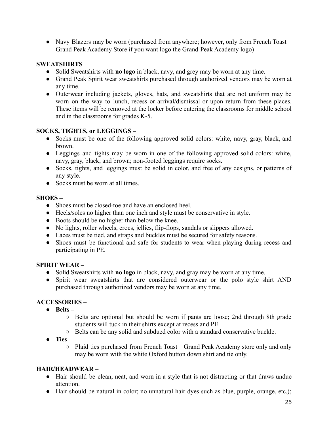• Navy Blazers may be worn (purchased from anywhere; however, only from French Toast – Grand Peak Academy Store if you want logo the Grand Peak Academy logo)

#### **SWEATSHIRTS**

- Solid Sweatshirts with **no logo** in black, navy, and grey may be worn at any time.
- Grand Peak Spirit wear sweatshirts purchased through authorized vendors may be worn at any time.
- Outerwear including jackets, gloves, hats, and sweatshirts that are not uniform may be worn on the way to lunch, recess or arrival/dismissal or upon return from these places. These items will be removed at the locker before entering the classrooms for middle school and in the classrooms for grades K-5.

#### **SOCKS, TIGHTS, or LEGGINGS –**

- Socks must be one of the following approved solid colors: white, navy, gray, black, and brown.
- Leggings and tights may be worn in one of the following approved solid colors: white, navy, gray, black, and brown; non-footed leggings require socks.
- Socks, tights, and leggings must be solid in color, and free of any designs, or patterns of any style.
- Socks must be worn at all times.

#### **SHOES –**

- Shoes must be closed-toe and have an enclosed heel.
- Heels/soles no higher than one inch and style must be conservative in style.
- Boots should be no higher than below the knee.
- No lights, roller wheels, crocs, jellies, flip-flops, sandals or slippers allowed.
- Laces must be tied, and straps and buckles must be secured for safety reasons.
- Shoes must be functional and safe for students to wear when playing during recess and participating in PE.

#### **SPIRIT WEAR –**

- Solid Sweatshirts with **no logo** in black, navy, and gray may be worn at any time.
- Spirit wear sweatshirts that are considered outerwear or the polo style shirt AND purchased through authorized vendors may be worn at any time.

#### **ACCESSORIES –**

- **● Belts –**
	- Belts are optional but should be worn if pants are loose; 2nd through 8th grade students will tuck in their shirts except at recess and PE.
	- Belts can be any solid and subdued color with a standard conservative buckle.
- **● Ties –**
	- Plaid ties purchased from French Toast Grand Peak Academy store only and only may be worn with the white Oxford button down shirt and tie only.

#### **HAIR/HEADWEAR –**

- Hair should be clean, neat, and worn in a style that is not distracting or that draws undue attention.
- Hair should be natural in color; no unnatural hair dyes such as blue, purple, orange, etc.);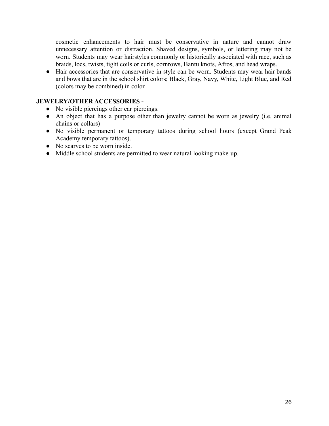cosmetic enhancements to hair must be conservative in nature and cannot draw unnecessary attention or distraction. Shaved designs, symbols, or lettering may not be worn. Students may wear hairstyles commonly or historically associated with race, such as braids, locs, twists, tight coils or curls, cornrows, Bantu knots, Afros, and head wraps.

● Hair accessories that are conservative in style can be worn. Students may wear hair bands and bows that are in the school shirt colors; Black, Gray, Navy, White, Light Blue, and Red (colors may be combined) in color.

#### **JEWELRY/OTHER ACCESSORIES -**

- No visible piercings other ear piercings.
- An object that has a purpose other than jewelry cannot be worn as jewelry (i.e. animal chains or collars)
- No visible permanent or temporary tattoos during school hours (except Grand Peak Academy temporary tattoos).
- No scarves to be worn inside.
- Middle school students are permitted to wear natural looking make-up.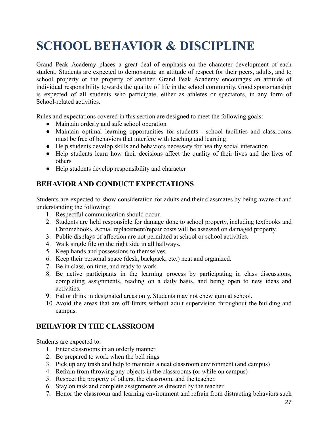## <span id="page-26-0"></span>**SCHOOL BEHAVIOR & DISCIPLINE**

Grand Peak Academy places a great deal of emphasis on the character development of each student. Students are expected to demonstrate an attitude of respect for their peers, adults, and to school property or the property of another. Grand Peak Academy encourages an attitude of individual responsibility towards the quality of life in the school community. Good sportsmanship is expected of all students who participate, either as athletes or spectators, in any form of School-related activities.

Rules and expectations covered in this section are designed to meet the following goals:

- Maintain orderly and safe school operation
- Maintain optimal learning opportunities for students school facilities and classrooms must be free of behaviors that interfere with teaching and learning
- Help students develop skills and behaviors necessary for healthy social interaction
- Help students learn how their decisions affect the quality of their lives and the lives of others
- Help students develop responsibility and character

## **BEHAVIOR AND CONDUCT EXPECTATIONS**

Students are expected to show consideration for adults and their classmates by being aware of and understanding the following:

- 1. Respectful communication should occur.
- 2. Students are held responsible for damage done to school property, including textbooks and Chromebooks. Actual replacement/repair costs will be assessed on damaged property.
- 3. Public displays of affection are not permitted at school or school activities.
- 4. Walk single file on the right side in all hallways.
- 5. Keep hands and possessions to themselves.
- 6. Keep their personal space (desk, backpack, etc.) neat and organized.
- 7. Be in class, on time, and ready to work.
- 8. Be active participants in the learning process by participating in class discussions, completing assignments, reading on a daily basis, and being open to new ideas and activities.
- 9. Eat or drink in designated areas only. Students may not chew gum at school.
- 10. Avoid the areas that are off-limits without adult supervision throughout the building and campus.

## **BEHAVIOR IN THE CLASSROOM**

Students are expected to:

- 1. Enter classrooms in an orderly manner
- 2. Be prepared to work when the bell rings
- 3. Pick up any trash and help to maintain a neat classroom environment (and campus)
- 4. Refrain from throwing any objects in the classrooms (or while on campus)
- 5. Respect the property of others, the classroom, and the teacher.
- 6. Stay on task and complete assignments as directed by the teacher.
- 7. Honor the classroom and learning environment and refrain from distracting behaviors such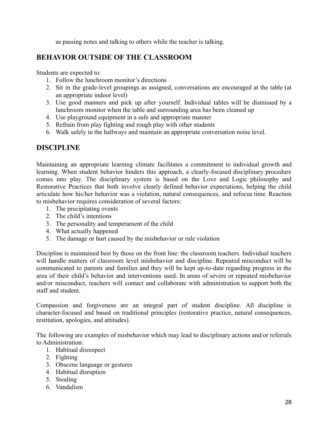as passing notes and talking to others while the teacher is talking.

## **BEHAVIOR OUTSIDE OF THE CLASSROOM**

Students are expected to:

- 1. Follow the lunchroom monitor's directions
- 2. Sit in the grade-level groupings as assigned, conversations are encouraged at the table (at an appropriate indoor level)
- 3. Use good manners and pick up after yourself. Individual tables will be dismissed by a lunchroom monitor when the table and surrounding area has been cleaned up
- 4. Use playground equipment in a safe and appropriate manner
- 5. Refrain from play fighting and rough play with other students
- 6. Walk safely in the hallways and maintain an appropriate conversation noise level.

## **DISCIPLINE**

Maintaining an appropriate learning climate facilitates a commitment to individual growth and learning. When student behavior hinders this approach, a clearly-focused disciplinary procedure comes into play. The disciplinary system is based on the Love and Logic philosophy and Restorative Practices that both involve clearly defined behavior expectations, helping the child articulate how his/her behavior was a violation, natural consequences, and refocus time. Reaction to misbehavior requires consideration of several factors:

- 1. The precipitating events
- 2. The child's intentions
- 3. The personality and temperament of the child
- 4. What actually happened
- 5. The damage or hurt caused by the misbehavior or rule violation

Discipline is maintained best by those on the front line: the classroom teachers. Individual teachers will handle matters of classroom level misbehavior and discipline. Repeated misconduct will be communicated to parents and families and they will be kept up-to-date regarding progress in the area of their child's behavior and interventions used. In areas of severe or repeated misbehavior and/or misconduct, teachers will contact and collaborate with administration to support both the staff and student.

Compassion and forgiveness are an integral part of student discipline. All discipline is character-focused and based on traditional principles (restorative practice, natural consequences, restitution, apologies, and attitudes).

The following are examples of misbehavior which may lead to disciplinary actions and/or referrals to Administration:

- 1. Habitual disrespect
- 2. Fighting
- 3. Obscene language or gestures
- 4. Habitual disruption
- 5. Stealing
- 6. Vandalism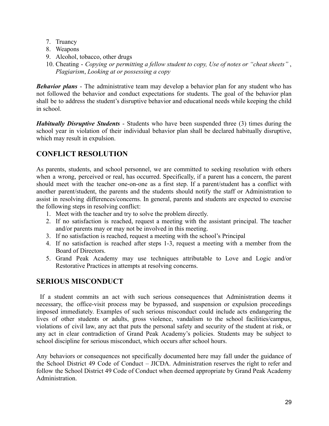- 7. Truancy
- 8. Weapons
- 9. Alcohol, tobacco, other drugs
- 10. Cheating *Copying or permitting a fellow student to copy, Use of notes or "cheat sheets"* , *Plagiarism*, *Looking at or possessing a copy*

*Behavior plans* - The administrative team may develop a behavior plan for any student who has not followed the behavior and conduct expectations for students. The goal of the behavior plan shall be to address the student's disruptive behavior and educational needs while keeping the child in school.

*Habitually Disruptive Students* - Students who have been suspended three (3) times during the school year in violation of their individual behavior plan shall be declared habitually disruptive, which may result in expulsion.

## **CONFLICT RESOLUTION**

As parents, students, and school personnel, we are committed to seeking resolution with others when a wrong, perceived or real, has occurred. Specifically, if a parent has a concern, the parent should meet with the teacher one-on-one as a first step. If a parent/student has a conflict with another parent/student, the parents and the students should notify the staff or Administration to assist in resolving differences/concerns. In general, parents and students are expected to exercise the following steps in resolving conflict:

- 1. Meet with the teacher and try to solve the problem directly.
- 2. If no satisfaction is reached, request a meeting with the assistant principal. The teacher and/or parents may or may not be involved in this meeting.
- 3. If no satisfaction is reached, request a meeting with the school's Principal
- 4. If no satisfaction is reached after steps 1-3, request a meeting with a member from the Board of Directors.
- 5. Grand Peak Academy may use techniques attributable to Love and Logic and/or Restorative Practices in attempts at resolving concerns.

## **SERIOUS MISCONDUCT**

If a student commits an act with such serious consequences that Administration deems it necessary, the office-visit process may be bypassed, and suspension or expulsion proceedings imposed immediately. Examples of such serious misconduct could include acts endangering the lives of other students or adults, gross violence, vandalism to the school facilities/campus, violations of civil law, any act that puts the personal safety and security of the student at risk, or any act in clear contradiction of Grand Peak Academy's policies. Students may be subject to school discipline for serious misconduct, which occurs after school hours.

Any behaviors or consequences not specifically documented here may fall under the guidance of the School District 49 Code of Conduct – JICDA. Administration reserves the right to refer and follow the School District 49 Code of Conduct when deemed appropriate by Grand Peak Academy Administration.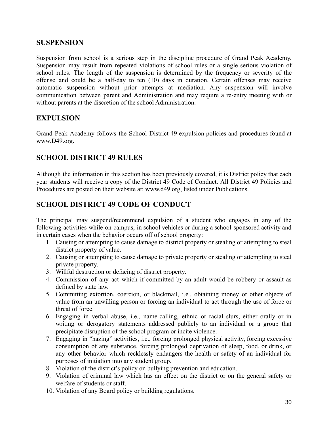### **SUSPENSION**

Suspension from school is a serious step in the discipline procedure of Grand Peak Academy. Suspension may result from repeated violations of school rules or a single serious violation of school rules. The length of the suspension is determined by the frequency or severity of the offense and could be a half-day to ten (10) days in duration. Certain offenses may receive automatic suspension without prior attempts at mediation. Any suspension will involve communication between parent and Administration and may require a re-entry meeting with or without parents at the discretion of the school Administration.

## **EXPULSION**

Grand Peak Academy follows the School District 49 expulsion policies and procedures found at www.D49.org.

## **SCHOOL DISTRICT 49 RULES**

Although the information in this section has been previously covered, it is District policy that each year students will receive a copy of the District 49 Code of Conduct. All District 49 Policies and Procedures are posted on their website at: www.d49.org, listed under Publications.

## **SCHOOL DISTRICT 49 CODE OF CONDUCT**

The principal may suspend/recommend expulsion of a student who engages in any of the following activities while on campus, in school vehicles or during a school-sponsored activity and in certain cases when the behavior occurs off of school property:

- 1. Causing or attempting to cause damage to district property or stealing or attempting to steal district property of value.
- 2. Causing or attempting to cause damage to private property or stealing or attempting to steal private property.
- 3. Willful destruction or defacing of district property.
- 4. Commission of any act which if committed by an adult would be robbery or assault as defined by state law.
- 5. Committing extortion, coercion, or blackmail, i.e., obtaining money or other objects of value from an unwilling person or forcing an individual to act through the use of force or threat of force.
- 6. Engaging in verbal abuse, i.e., name-calling, ethnic or racial slurs, either orally or in writing or derogatory statements addressed publicly to an individual or a group that precipitate disruption of the school program or incite violence.
- 7. Engaging in "hazing" activities, i.e., forcing prolonged physical activity, forcing excessive consumption of any substance, forcing prolonged deprivation of sleep, food, or drink, or any other behavior which recklessly endangers the health or safety of an individual for purposes of initiation into any student group.
- 8. Violation of the district's policy on bullying prevention and education.
- 9. Violation of criminal law which has an effect on the district or on the general safety or welfare of students or staff.
- 10. Violation of any Board policy or building regulations.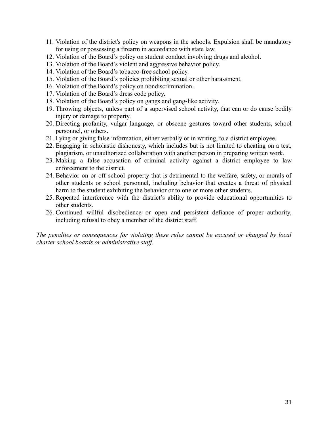- 11. Violation of the district's policy on weapons in the schools. Expulsion shall be mandatory for using or possessing a firearm in accordance with state law.
- 12. Violation of the Board's policy on student conduct involving drugs and alcohol.
- 13. Violation of the Board's violent and aggressive behavior policy.
- 14. Violation of the Board's tobacco-free school policy.
- 15. Violation of the Board's policies prohibiting sexual or other harassment.
- 16. Violation of the Board's policy on nondiscrimination.
- 17. Violation of the Board's dress code policy.
- 18. Violation of the Board's policy on gangs and gang-like activity.
- 19. Throwing objects, unless part of a supervised school activity, that can or do cause bodily injury or damage to property.
- 20. Directing profanity, vulgar language, or obscene gestures toward other students, school personnel, or others.
- 21. Lying or giving false information, either verbally or in writing, to a district employee.
- 22. Engaging in scholastic dishonesty, which includes but is not limited to cheating on a test, plagiarism, or unauthorized collaboration with another person in preparing written work.
- 23. Making a false accusation of criminal activity against a district employee to law enforcement to the district.
- 24. Behavior on or off school property that is detrimental to the welfare, safety, or morals of other students or school personnel, including behavior that creates a threat of physical harm to the student exhibiting the behavior or to one or more other students.
- 25. Repeated interference with the district's ability to provide educational opportunities to other students.
- 26. Continued willful disobedience or open and persistent defiance of proper authority, including refusal to obey a member of the district staff.

*The penalties or consequences for violating these rules cannot be excused or changed by local charter school boards or administrative staff.*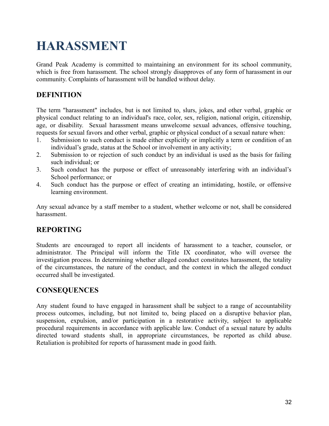## <span id="page-31-0"></span>**HARASSMENT**

Grand Peak Academy is committed to maintaining an environment for its school community, which is free from harassment. The school strongly disapproves of any form of harassment in our community. Complaints of harassment will be handled without delay.

## **DEFINITION**

The term "harassment" includes, but is not limited to, slurs, jokes, and other verbal, graphic or physical conduct relating to an individual's race, color, sex, religion, national origin, citizenship, age, or disability. Sexual harassment means unwelcome sexual advances, offensive touching, requests for sexual favors and other verbal, graphic or physical conduct of a sexual nature when:

- 1. Submission to such conduct is made either explicitly or implicitly a term or condition of an individual's grade, status at the School or involvement in any activity;
- 2. Submission to or rejection of such conduct by an individual is used as the basis for failing such individual; or
- 3. Such conduct has the purpose or effect of unreasonably interfering with an individual's School performance; or
- 4. Such conduct has the purpose or effect of creating an intimidating, hostile, or offensive learning environment.

Any sexual advance by a staff member to a student, whether welcome or not, shall be considered harassment.

## **REPORTING**

Students are encouraged to report all incidents of harassment to a teacher, counselor, or administrator. The Principal will inform the Title IX coordinator, who will oversee the investigation process. In determining whether alleged conduct constitutes harassment, the totality of the circumstances, the nature of the conduct, and the context in which the alleged conduct occurred shall be investigated.

## **CONSEQUENCES**

Any student found to have engaged in harassment shall be subject to a range of accountability process outcomes, including, but not limited to, being placed on a disruptive behavior plan, suspension, expulsion, and/or participation in a restorative activity, subject to applicable procedural requirements in accordance with applicable law. Conduct of a sexual nature by adults directed toward students shall, in appropriate circumstances, be reported as child abuse. Retaliation is prohibited for reports of harassment made in good faith.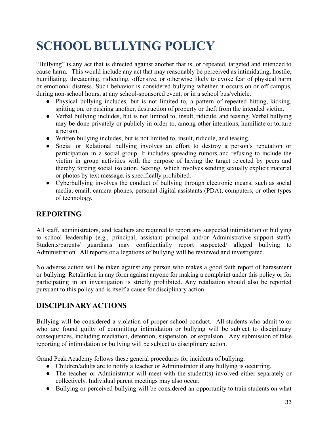## <span id="page-32-0"></span>**SCHOOL BULLYING POLICY**

"Bullying" is any act that is directed against another that is, or repeated, targeted and intended to cause harm. This would include any act that may reasonably be perceived as intimidating, hostile, humiliating, threatening, ridiculing, offensive, or otherwise likely to evoke fear of physical harm or emotional distress. Such behavior is considered bullying whether it occurs on or off-campus, during non-school hours, at any school-sponsored event, or in a school bus/vehicle.

- Physical bullying includes, but is not limited to, a pattern of repeated hitting, kicking, spitting on, or pushing another, destruction of property or theft from the intended victim.
- Verbal bullying includes, but is not limited to, insult, ridicule, and teasing. Verbal bullying may be done privately or publicly in order to, among other intentions, humiliate or torture a person.
- Written bullying includes, but is not limited to, insult, ridicule, and teasing.
- Social or Relational bullying involves an effort to destroy a person's reputation or participation in a social group. It includes spreading rumors and refusing to include the victim in group activities with the purpose of having the target rejected by peers and thereby forcing social isolation. Sexting, which involves sending sexually explicit material or photos by text message, is specifically prohibited.
- Cyberbullying involves the conduct of bullying through electronic means, such as social media, email, camera phones, personal digital assistants (PDA), computers, or other types of technology.

### **REPORTING**

All staff, administrators, and teachers are required to report any suspected intimidation or bullying to school leadership (e.g., principal, assistant principal and/or Administrative support staff). Students/parents/ guardians may confidentially report suspected/ alleged bullying to Administration. All reports or allegations of bullying will be reviewed and investigated.

No adverse action will be taken against any person who makes a good faith report of harassment or bullying. Retaliation in any form against anyone for making a complaint under this policy or for participating in an investigation is strictly prohibited. Any retaliation should also be reported pursuant to this policy and is itself a cause for disciplinary action.

## **DISCIPLINARY ACTIONS**

Bullying will be considered a violation of proper school conduct. All students who admit to or who are found guilty of committing intimidation or bullying will be subject to disciplinary consequences, including mediation, detention, suspension, or expulsion. Any submission of false reporting of intimidation or bullying will be subject to disciplinary action.

Grand Peak Academy follows these general procedures for incidents of bullying:

- Children/adults are to notify a teacher or Administrator if any bullying is occurring.
- The teacher or Administrator will meet with the student(s) involved either separately or collectively. Individual parent meetings may also occur.
- Bullying or perceived bullying will be considered an opportunity to train students on what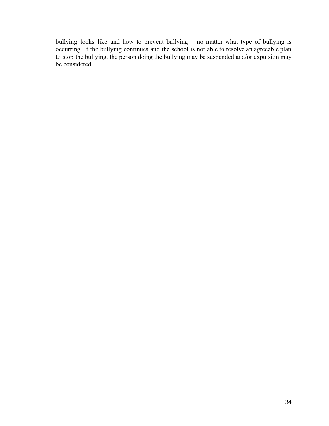bullying looks like and how to prevent bullying – no matter what type of bullying is occurring. If the bullying continues and the school is not able to resolve an agreeable plan to stop the bullying, the person doing the bullying may be suspended and/or expulsion may be considered.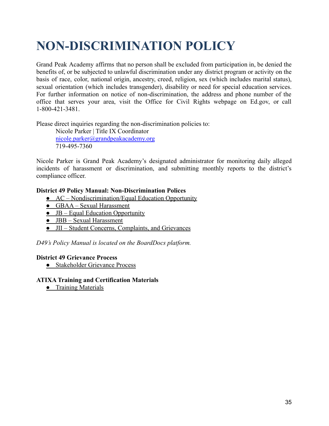## <span id="page-34-0"></span>**NON-DISCRIMINATION POLICY**

Grand Peak Academy affirms that no person shall be excluded from participation in, be denied the benefits of, or be subjected to unlawful discrimination under any district program or activity on the basis of race, color, national origin, ancestry, creed, religion, sex (which includes marital status), sexual orientation (which includes transgender), disability or need for special education services. For further information on notice of non-discrimination, the address and phone number of the office that serves your area, visit the Office for Civil Rights webpage on Ed.gov, or call 1-800-421-3481.

Please direct inquiries regarding the non-discrimination policies to:

Nicole Parker | Title IX Coordinator nicole.parker@grandpeakacademy.org 719-495-7360

Nicole Parker is Grand Peak Academy's designated administrator for monitoring daily alleged incidents of harassment or discrimination, and submitting monthly reports to the district's compliance officer.

#### **District 49 Policy Manual: Non-Discrimination Polices**

- [AC Nondiscrimination/Equal Education Opportunity](https://go.boarddocs.com/co/d49/Board.nsf/goto?open&id=BSLM6T56DAB8)
- [GBAA Sexual Harassment](https://go.boarddocs.com/co/d49/Board.nsf/goto?open&id=BMD5D20FACB7)
- $\bullet$  [JB Equal Education Opportunity](https://go.boarddocs.com/co/d49/Board.nsf/goto?open&id=BSNT5M6C0886)
- [JBB Sexual Harassment](https://go.boarddocs.com/co/d49/Board.nsf/goto?open&id=BSLMFS5792B9)
- [JII Student Concerns, Complaints, and Grievances](https://go.boarddocs.com/co/d49/Board.nsf/goto?open&id=BSLMGC57B10F)

*D49's Policy Manual is located on the BoardDocs platform.*

#### **District 49 Grievance Process**

• [Stakeholder Grievance Process](https://www.d49.org/Page/4948)

#### **ATIXA Training and Certification Materials**

**•** [Training Materials](https://www.atixa.org/2020-regulations-requirement-posting-of-training-materials/)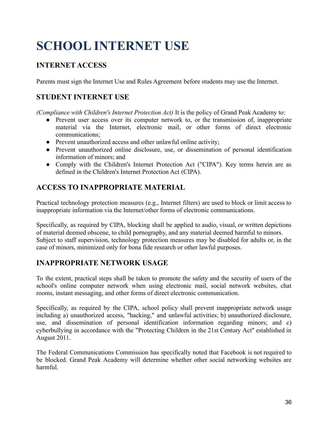## <span id="page-35-0"></span>**SCHOOL INTERNET USE**

## **INTERNET ACCESS**

Parents must sign the Internet Use and Rules Agreement before students may use the Internet.

## **STUDENT INTERNET USE**

*(Compliance with Children's Internet Protection Act)* It is the policy of Grand Peak Academy to:

- Prevent user access over its computer network to, or the transmission of, inappropriate material via the Internet, electronic mail, or other forms of direct electronic communications;
- Prevent unauthorized access and other unlawful online activity;
- Prevent unauthorized online disclosure, use, or dissemination of personal identification information of minors; and
- Comply with the Children's Internet Protection Act ("CIPA"). Key terms herein are as defined in the Children's Internet Protection Act (CIPA).

## **ACCESS TO INAPPROPRIATE MATERIAL**

Practical technology protection measures (e.g., Internet filters) are used to block or limit access to inappropriate information via the Internet/other forms of electronic communications.

Specifically, as required by CIPA, blocking shall be applied to audio, visual, or written depictions of material deemed obscene, to child pornography, and any material deemed harmful to minors. Subject to staff supervision, technology protection measures may be disabled for adults or, in the case of minors, minimized only for bona fide research or other lawful purposes.

## **INAPPROPRIATE NETWORK USAGE**

To the extent, practical steps shall be taken to promote the safety and the security of users of the school's online computer network when using electronic mail, social network websites, chat rooms, instant messaging, and other forms of direct electronic communication.

Specifically, as required by the CIPA, school policy shall prevent inappropriate network usage including a) unauthorized access, "hacking," and unlawful activities; b) unauthorized disclosure, use, and dissemination of personal identification information regarding minors; and c) cyberbullying in accordance with the "Protecting Children in the 21st Century Act" established in August 2011.

The Federal Communications Commission has specifically noted that Facebook is not required to be blocked. Grand Peak Academy will determine whether other social networking websites are harmful.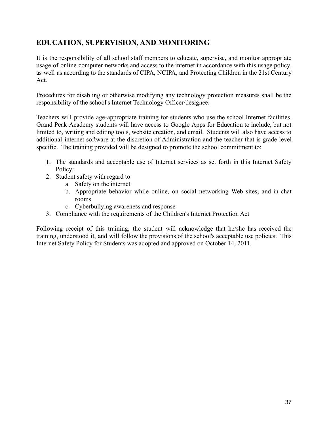## **EDUCATION, SUPERVISION, AND MONITORING**

It is the responsibility of all school staff members to educate, supervise, and monitor appropriate usage of online computer networks and access to the internet in accordance with this usage policy, as well as according to the standards of CIPA, NCIPA, and Protecting Children in the 21st Century Act.

Procedures for disabling or otherwise modifying any technology protection measures shall be the responsibility of the school's Internet Technology Officer/designee.

Teachers will provide age-appropriate training for students who use the school Internet facilities. Grand Peak Academy students will have access to Google Apps for Education to include, but not limited to, writing and editing tools, website creation, and email. Students will also have access to additional internet software at the discretion of Administration and the teacher that is grade-level specific. The training provided will be designed to promote the school commitment to:

- 1. The standards and acceptable use of Internet services as set forth in this Internet Safety Policy:
- 2. Student safety with regard to:
	- a. Safety on the internet
	- b. Appropriate behavior while online, on social networking Web sites, and in chat rooms
	- c. Cyberbullying awareness and response
- 3. Compliance with the requirements of the Children's Internet Protection Act

Following receipt of this training, the student will acknowledge that he/she has received the training, understood it, and will follow the provisions of the school's acceptable use policies. This Internet Safety Policy for Students was adopted and approved on October 14, 2011.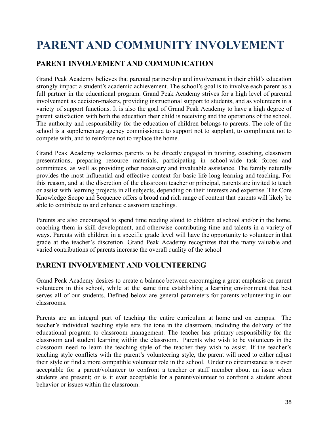## <span id="page-37-0"></span>**PARENT AND COMMUNITY INVOLVEMENT**

## **PARENT INVOLVEMENT AND COMMUNICATION**

Grand Peak Academy believes that parental partnership and involvement in their child's education strongly impact a student's academic achievement. The school's goal is to involve each parent as a full partner in the educational program. Grand Peak Academy strives for a high level of parental involvement as decision-makers, providing instructional support to students, and as volunteers in a variety of support functions. It is also the goal of Grand Peak Academy to have a high degree of parent satisfaction with both the education their child is receiving and the operations of the school. The authority and responsibility for the education of children belongs to parents. The role of the school is a supplementary agency commissioned to support not to supplant, to compliment not to compete with, and to reinforce not to replace the home.

Grand Peak Academy welcomes parents to be directly engaged in tutoring, coaching, classroom presentations, preparing resource materials, participating in school-wide task forces and committees, as well as providing other necessary and invaluable assistance. The family naturally provides the most influential and effective context for basic life-long learning and teaching. For this reason, and at the discretion of the classroom teacher or principal, parents are invited to teach or assist with learning projects in all subjects, depending on their interests and expertise. The Core Knowledge Scope and Sequence offers a broad and rich range of content that parents will likely be able to contribute to and enhance classroom teachings.

Parents are also encouraged to spend time reading aloud to children at school and/or in the home, coaching them in skill development, and otherwise contributing time and talents in a variety of ways. Parents with children in a specific grade level will have the opportunity to volunteer in that grade at the teacher's discretion. Grand Peak Academy recognizes that the many valuable and varied contributions of parents increase the overall quality of the school

### **PARENT INVOLVEMENT AND VOLUNTEERING**

Grand Peak Academy desires to create a balance between encouraging a great emphasis on parent volunteers in this school, while at the same time establishing a learning environment that best serves all of our students. Defined below are general parameters for parents volunteering in our classrooms.

Parents are an integral part of teaching the entire curriculum at home and on campus. The teacher's individual teaching style sets the tone in the classroom, including the delivery of the educational program to classroom management. The teacher has primary responsibility for the classroom and student learning within the classroom. Parents who wish to be volunteers in the classroom need to learn the teaching style of the teacher they wish to assist. If the teacher's teaching style conflicts with the parent's volunteering style, the parent will need to either adjust their style or find a more compatible volunteer role in the school. Under no circumstance is it ever acceptable for a parent/volunteer to confront a teacher or staff member about an issue when students are present; or is it ever acceptable for a parent/volunteer to confront a student about behavior or issues within the classroom.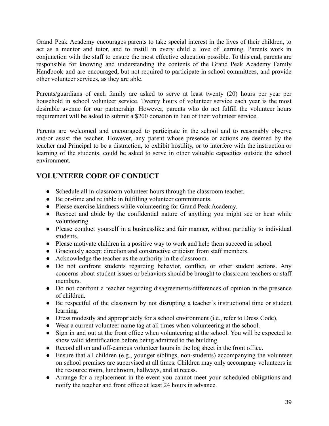Grand Peak Academy encourages parents to take special interest in the lives of their children, to act as a mentor and tutor, and to instill in every child a love of learning. Parents work in conjunction with the staff to ensure the most effective education possible. To this end, parents are responsible for knowing and understanding the contents of the Grand Peak Academy Family Handbook and are encouraged, but not required to participate in school committees, and provide other volunteer services, as they are able.

Parents/guardians of each family are asked to serve at least twenty (20) hours per year per household in school volunteer service. Twenty hours of volunteer service each year is the most desirable avenue for our partnership. However, parents who do not fulfill the volunteer hours requirement will be asked to submit a \$200 donation in lieu of their volunteer service.

Parents are welcomed and encouraged to participate in the school and to reasonably observe and/or assist the teacher. However, any parent whose presence or actions are deemed by the teacher and Principal to be a distraction, to exhibit hostility, or to interfere with the instruction or learning of the students, could be asked to serve in other valuable capacities outside the school environment.

## **VOLUNTEER CODE OF CONDUCT**

- Schedule all in-classroom volunteer hours through the classroom teacher.
- Be on-time and reliable in fulfilling volunteer commitments.
- Please exercise kindness while volunteering for Grand Peak Academy.
- Respect and abide by the confidential nature of anything you might see or hear while volunteering.
- Please conduct yourself in a businesslike and fair manner, without partiality to individual students.
- Please motivate children in a positive way to work and help them succeed in school.
- Graciously accept direction and constructive criticism from staff members.
- Acknowledge the teacher as the authority in the classroom.
- Do not confront students regarding behavior, conflict, or other student actions. Any concerns about student issues or behaviors should be brought to classroom teachers or staff members.
- Do not confront a teacher regarding disagreements/differences of opinion in the presence of children.
- Be respectful of the classroom by not disrupting a teacher's instructional time or student learning.
- Dress modestly and appropriately for a school environment (i.e., refer to Dress Code).
- Wear a current volunteer name tag at all times when volunteering at the school.
- Sign in and out at the front office when volunteering at the school. You will be expected to show valid identification before being admitted to the building.
- Record all on and off-campus volunteer hours in the log sheet in the front office.
- Ensure that all children (e.g., younger siblings, non-students) accompanying the volunteer on school premises are supervised at all times. Children may only accompany volunteers in the resource room, lunchroom, hallways, and at recess.
- Arrange for a replacement in the event you cannot meet your scheduled obligations and notify the teacher and front office at least 24 hours in advance.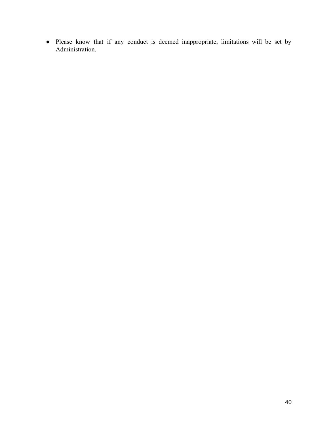● Please know that if any conduct is deemed inappropriate, limitations will be set by Administration.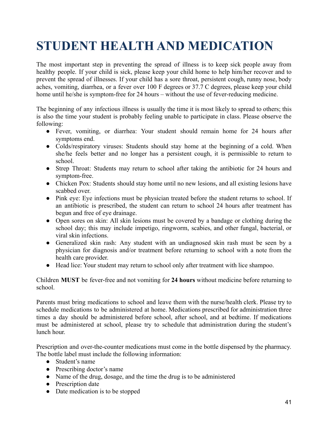## <span id="page-40-0"></span>**STUDENT HEALTH AND MEDICATION**

The most important step in preventing the spread of illness is to keep sick people away from healthy people. If your child is sick, please keep your child home to help him/her recover and to prevent the spread of illnesses. If your child has a sore throat, persistent cough, runny nose, body aches, vomiting, diarrhea, or a fever over 100 F degrees or 37.7 C degrees, please keep your child home until he/she is symptom-free for 24 hours – without the use of fever-reducing medicine.

The beginning of any infectious illness is usually the time it is most likely to spread to others; this is also the time your student is probably feeling unable to participate in class. Please observe the following:

- Fever, vomiting, or diarrhea: Your student should remain home for 24 hours after symptoms end.
- Colds/respiratory viruses: Students should stay home at the beginning of a cold. When she/he feels better and no longer has a persistent cough, it is permissible to return to school.
- Strep Throat: Students may return to school after taking the antibiotic for 24 hours and symptom-free.
- Chicken Pox: Students should stay home until no new lesions, and all existing lesions have scabbed over.
- Pink eye: Eye infections must be physician treated before the student returns to school. If an antibiotic is prescribed, the student can return to school 24 hours after treatment has begun and free of eye drainage.
- Open sores on skin: All skin lesions must be covered by a bandage or clothing during the school day; this may include impetigo, ringworm, scabies, and other fungal, bacterial, or viral skin infections.
- Generalized skin rash: Any student with an undiagnosed skin rash must be seen by a physician for diagnosis and/or treatment before returning to school with a note from the health care provider.
- Head lice: Your student may return to school only after treatment with lice shampoo.

Children **MUST** be fever-free and not vomiting for **24 hours** without medicine before returning to school.

Parents must bring medications to school and leave them with the nurse/health clerk. Please try to schedule medications to be administered at home. Medications prescribed for administration three times a day should be administered before school, after school, and at bedtime. If medications must be administered at school, please try to schedule that administration during the student's lunch hour.

Prescription and over-the-counter medications must come in the bottle dispensed by the pharmacy. The bottle label must include the following information:

- Student's name
- Prescribing doctor's name
- Name of the drug, dosage, and the time the drug is to be administered
- Prescription date
- Date medication is to be stopped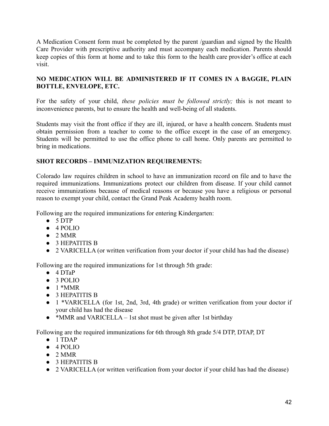A Medication Consent form must be completed by the parent /guardian and signed by the Health Care Provider with prescriptive authority and must accompany each medication. Parents should keep copies of this form at home and to take this form to the health care provider's office at each visit.

#### **NO MEDICATION WILL BE ADMINISTERED IF IT COMES IN A BAGGIE, PLAIN BOTTLE, ENVELOPE, ETC.**

For the safety of your child, *these policies must be followed strictly;* this is not meant to inconvenience parents, but to ensure the health and well-being of all students.

Students may visit the front office if they are ill, injured, or have a health concern. Students must obtain permission from a teacher to come to the office except in the case of an emergency. Students will be permitted to use the office phone to call home. Only parents are permitted to bring in medications.

#### **SHOT RECORDS – IMMUNIZATION REQUIREMENTS:**

Colorado law requires children in school to have an immunization record on file and to have the required immunizations. Immunizations protect our children from disease. If your child cannot receive immunizations because of medical reasons or because you have a religious or personal reason to exempt your child, contact the Grand Peak Academy health room.

Following are the required immunizations for entering Kindergarten:

- 5 DTP
- 4 POLIO
- $\bullet$  2 MMR
- 3 HEPATITIS B
- 2 VARICELLA (or written verification from your doctor if your child has had the disease)

Following are the required immunizations for 1st through 5th grade:

- $\bullet$  4 DTaP
- 3 POLIO
- $\bullet$  1 \*MMR
- 3 HEPATITIS B
- 1 \*VARICELLA (for 1st, 2nd, 3rd, 4th grade) or written verification from your doctor if your child has had the disease
- $\bullet$  \*MMR and VARICELLA 1st shot must be given after 1st birthday

Following are the required immunizations for 6th through 8th grade 5/4 DTP, DTAP, DT

- 1 TDAP
- $\bullet$  4 POLIO
- $\bullet$  2 MMR
- 3 HEPATITIS B
- 2 VARICELLA (or written verification from your doctor if your child has had the disease)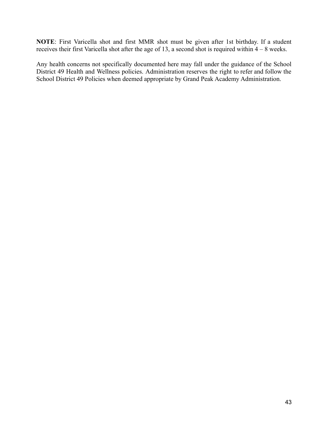**NOTE**: First Varicella shot and first MMR shot must be given after 1st birthday. If a student receives their first Varicella shot after the age of 13, a second shot is required within 4 – 8 weeks.

Any health concerns not specifically documented here may fall under the guidance of the School District 49 Health and Wellness policies. Administration reserves the right to refer and follow the School District 49 Policies when deemed appropriate by Grand Peak Academy Administration.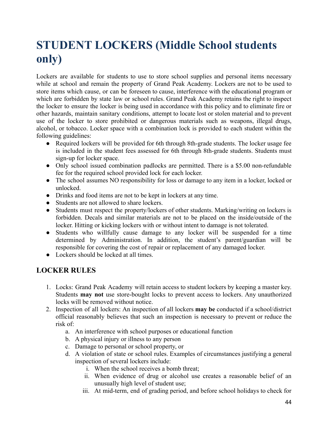## <span id="page-43-0"></span>**STUDENT LOCKERS (Middle School students only)**

Lockers are available for students to use to store school supplies and personal items necessary while at school and remain the property of Grand Peak Academy. Lockers are not to be used to store items which cause, or can be foreseen to cause, interference with the educational program or which are forbidden by state law or school rules. Grand Peak Academy retains the right to inspect the locker to ensure the locker is being used in accordance with this policy and to eliminate fire or other hazards, maintain sanitary conditions, attempt to locate lost or stolen material and to prevent use of the locker to store prohibited or dangerous materials such as weapons, illegal drugs, alcohol, or tobacco. Locker space with a combination lock is provided to each student within the following guidelines:

- Required lockers will be provided for 6th through 8th-grade students. The locker usage fee is included in the student fees assessed for 6th through 8th-grade students. Students must sign-up for locker space.
- Only school issued combination padlocks are permitted. There is a \$5.00 non-refundable fee for the required school provided lock for each locker.
- The school assumes NO responsibility for loss or damage to any item in a locker, locked or unlocked.
- Drinks and food items are not to be kept in lockers at any time.
- Students are not allowed to share lockers.
- Students must respect the property/lockers of other students. Marking/writing on lockers is forbidden. Decals and similar materials are not to be placed on the inside/outside of the locker. Hitting or kicking lockers with or without intent to damage is not tolerated.
- Students who willfully cause damage to any locker will be suspended for a time determined by Administration. In addition, the student's parent/guardian will be responsible for covering the cost of repair or replacement of any damaged locker.
- Lockers should be locked at all times.

## **LOCKER RULES**

- 1. Locks: Grand Peak Academy will retain access to student lockers by keeping a master key. Students **may not** use store-bought locks to prevent access to lockers. Any unauthorized locks will be removed without notice.
- 2. Inspection of all lockers: An inspection of all lockers **may be** conducted if a school/district official reasonably believes that such an inspection is necessary to prevent or reduce the risk of:
	- a. An interference with school purposes or educational function
	- b. A physical injury or illness to any person
	- c. Damage to personal or school property, or
	- d. A violation of state or school rules. Examples of circumstances justifying a general inspection of several lockers include:
		- i. When the school receives a bomb threat;
		- ii. When evidence of drug or alcohol use creates a reasonable belief of an unusually high level of student use;
		- iii. At mid-term, end of grading period, and before school holidays to check for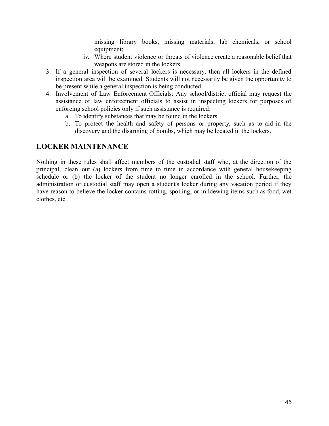missing library books, missing materials, lab chemicals, or school equipment;

- iv. Where student violence or threats of violence create a reasonable belief that weapons are stored in the lockers.
- 3. If a general inspection of several lockers is necessary, then all lockers in the defined inspection area will be examined. Students will not necessarily be given the opportunity to be present while a general inspection is being conducted.
- 4. Involvement of Law Enforcement Officials: Any school/district official may request the assistance of law enforcement officials to assist in inspecting lockers for purposes of enforcing school policies only if such assistance is required:
	- a. To identify substances that may be found in the lockers
	- b. To protect the health and safety of persons or property, such as to aid in the discovery and the disarming of bombs, which may be located in the lockers.

### **LOCKER MAINTENANCE**

Nothing in these rules shall affect members of the custodial staff who, at the direction of the principal, clean out (a) lockers from time to time in accordance with general housekeeping schedule or (b) the locker of the student no longer enrolled in the school. Further, the administration or custodial staff may open a student's locker during any vacation period if they have reason to believe the locker contains rotting, spoiling, or mildewing items such as food, wet clothes, etc.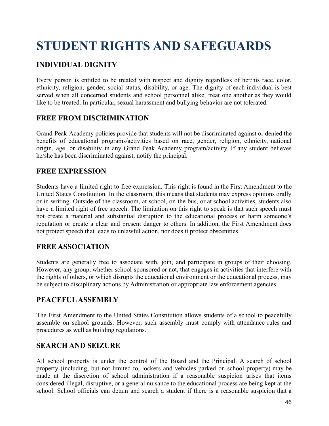## <span id="page-45-0"></span>**STUDENT RIGHTS AND SAFEGUARDS**

## **INDIVIDUAL DIGNITY**

Every person is entitled to be treated with respect and dignity regardless of her/his race, color, ethnicity, religion, gender, social status, disability, or age. The dignity of each individual is best served when all concerned students and school personnel alike, treat one another as they would like to be treated. In particular, sexual harassment and bullying behavior are not tolerated.

### **FREE FROM DISCRIMINATION**

Grand Peak Academy policies provide that students will not be discriminated against or denied the benefits of educational programs/activities based on race, gender, religion, ethnicity, national origin, age, or disability in any Grand Peak Academy program/activity. If any student believes he/she has been discriminated against, notify the principal.

## **FREE EXPRESSION**

Students have a limited right to free expression. This right is found in the First Amendment to the United States Constitution. In the classroom, this means that students may express opinions orally or in writing. Outside of the classroom, at school, on the bus, or at school activities, students also have a limited right of free speech. The limitation on this right to speak is that such speech must not create a material and substantial disruption to the educational process or harm someone's reputation or create a clear and present danger to others. In addition, the First Amendment does not protect speech that leads to unlawful action, nor does it protect obscenities.

## **FREE ASSOCIATION**

Students are generally free to associate with, join, and participate in groups of their choosing. However, any group, whether school-sponsored or not, that engages in activities that interfere with the rights of others, or which disrupts the educational environment or the educational process, may be subject to disciplinary actions by Administration or appropriate law enforcement agencies.

## **PEACEFULASSEMBLY**

The First Amendment to the United States Constitution allows students of a school to peacefully assemble on school grounds. However, such assembly must comply with attendance rules and procedures as well as building regulations.

## **SEARCH AND SEIZURE**

All school property is under the control of the Board and the Principal. A search of school property (including, but not limited to, lockers and vehicles parked on school property) may be made at the discretion of school administration if a reasonable suspicion arises that items considered illegal, disruptive, or a general nuisance to the educational process are being kept at the school. School officials can detain and search a student if there is a reasonable suspicion that a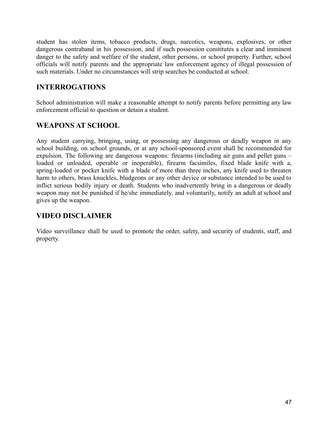student has stolen items, tobacco products, drugs, narcotics, weapons, explosives, or other dangerous contraband in his possession, and if such possession constitutes a clear and imminent danger to the safety and welfare of the student, other persons, or school property. Further, school officials will notify parents and the appropriate law enforcement agency of illegal possession of such materials. Under no circumstances will strip searches be conducted at school.

## **INTERROGATIONS**

School administration will make a reasonable attempt to notify parents before permitting any law enforcement official to question or detain a student.

## **WEAPONS AT SCHOOL**

Any student carrying, bringing, using, or possessing any dangerous or deadly weapon in any school building, on school grounds, or at any school-sponsored event shall be recommended for expulsion. The following are dangerous weapons: firearms (including air guns and pellet guns – loaded or unloaded, operable or inoperable), firearm facsimiles, fixed blade knife with a, spring-loaded or pocket knife with a blade of more than three inches, any knife used to threaten harm to others, brass knuckles, bludgeons or any other device or substance intended to be used to inflict serious bodily injury or death. Students who inadvertently bring in a dangerous or deadly weapon may not be punished if he/she immediately, and voluntarily, notify an adult at school and gives up the weapon.

## **VIDEO DISCLAIMER**

Video surveillance shall be used to promote the order, safety, and security of students, staff, and property.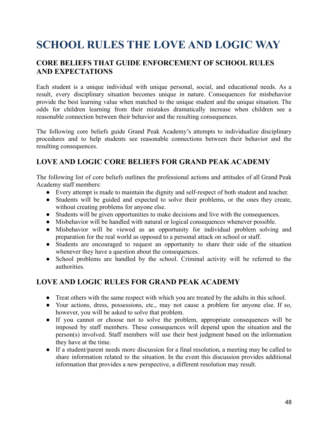## <span id="page-47-0"></span>**SCHOOL RULES THE LOVE AND LOGIC WAY**

## **CORE BELIEFS THAT GUIDE ENFORCEMENT OF SCHOOL RULES AND EXPECTATIONS**

Each student is a unique individual with unique personal, social, and educational needs. As a result, every disciplinary situation becomes unique in nature. Consequences for misbehavior provide the best learning value when matched to the unique student and the unique situation. The odds for children learning from their mistakes dramatically increase when children see a reasonable connection between their behavior and the resulting consequences.

The following core beliefs guide Grand Peak Academy's attempts to individualize disciplinary procedures and to help students see reasonable connections between their behavior and the resulting consequences.

## **LOVE AND LOGIC CORE BELIEFS FOR GRAND PEAK ACADEMY**

The following list of core beliefs outlines the professional actions and attitudes of all Grand Peak Academy staff members:

- Every attempt is made to maintain the dignity and self-respect of both student and teacher.
- Students will be guided and expected to solve their problems, or the ones they create, without creating problems for anyone else.
- Students will be given opportunities to make decisions and live with the consequences.
- Misbehavior will be handled with natural or logical consequences whenever possible.
- Misbehavior will be viewed as an opportunity for individual problem solving and preparation for the real world as opposed to a personal attack on school or staff.
- Students are encouraged to request an opportunity to share their side of the situation whenever they have a question about the consequences.
- School problems are handled by the school. Criminal activity will be referred to the authorities.

## **LOVE AND LOGIC RULES FOR GRAND PEAK ACADEMY**

- Treat others with the same respect with which you are treated by the adults in this school.
- Your actions, dress, possessions, etc., may not cause a problem for anyone else. If so, however, you will be asked to solve that problem.
- If you cannot or choose not to solve the problem, appropriate consequences will be imposed by staff members. These consequences will depend upon the situation and the person(s) involved. Staff members will use their best judgment based on the information they have at the time.
- If a student/parent needs more discussion for a final resolution, a meeting may be called to share information related to the situation. In the event this discussion provides additional information that provides a new perspective, a different resolution may result.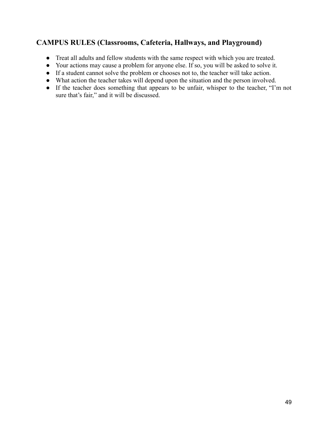## **CAMPUS RULES (Classrooms, Cafeteria, Hallways, and Playground)**

- Treat all adults and fellow students with the same respect with which you are treated.
- Your actions may cause a problem for anyone else. If so, you will be asked to solve it.
- If a student cannot solve the problem or chooses not to, the teacher will take action.
- What action the teacher takes will depend upon the situation and the person involved.
- If the teacher does something that appears to be unfair, whisper to the teacher, "I'm not sure that's fair," and it will be discussed.